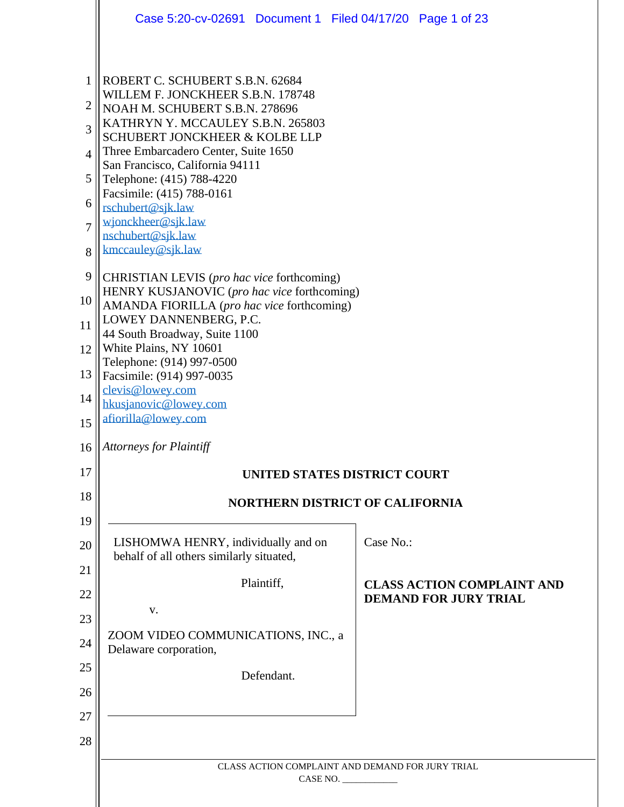|                | Case 5:20-cv-02691 Document 1 Filed 04/17/20 Page 1 of 23                                 |                                                              |
|----------------|-------------------------------------------------------------------------------------------|--------------------------------------------------------------|
|                |                                                                                           |                                                              |
| 1              | ROBERT C. SCHUBERT S.B.N. 62684                                                           |                                                              |
| $\overline{2}$ | WILLEM F. JONCKHEER S.B.N. 178748<br>NOAH M. SCHUBERT S.B.N. 278696                       |                                                              |
| 3              | KATHRYN Y. MCCAULEY S.B.N. 265803<br><b>SCHUBERT JONCKHEER &amp; KOLBE LLP</b>            |                                                              |
| 4              | Three Embarcadero Center, Suite 1650                                                      |                                                              |
| 5              | San Francisco, California 94111<br>Telephone: (415) 788-4220                              |                                                              |
| 6              | Facsimile: (415) 788-0161<br>rschubert@sjk.law                                            |                                                              |
| $\overline{7}$ | wjonckheer@sjk.law<br>nschubert@sjk.law                                                   |                                                              |
| 8              | kmccauley@sjk.law                                                                         |                                                              |
| 9              | CHRISTIAN LEVIS (pro hac vice forthcoming)                                                |                                                              |
| 10             | HENRY KUSJANOVIC (pro hac vice forthcoming)<br>AMANDA FIORILLA (pro hac vice forthcoming) |                                                              |
| 11             | LOWEY DANNENBERG, P.C.<br>44 South Broadway, Suite 1100                                   |                                                              |
| 12             | White Plains, NY 10601                                                                    |                                                              |
| 13             | Telephone: (914) 997-0500<br>Facsimile: (914) 997-0035                                    |                                                              |
| 14             | clevis@lowey.com<br>hkusjanovic@lowey.com                                                 |                                                              |
| 15             | afiorilla@lowey.com                                                                       |                                                              |
| 16             | <b>Attorneys for Plaintiff</b>                                                            |                                                              |
| 17             |                                                                                           | <b>UNITED STATES DISTRICT COURT</b>                          |
| 18             |                                                                                           | <b>NORTHERN DISTRICT OF CALIFORNIA</b>                       |
| 19             |                                                                                           |                                                              |
| 20             | LISHOMWA HENRY, individually and on<br>behalf of all others similarly situated,           | Case No.:                                                    |
| 21<br>22       | Plaintiff,                                                                                | <b>CLASS ACTION COMPLAINT AND</b>                            |
| 23             | $\mathbf{V}$ .                                                                            | <b>DEMAND FOR JURY TRIAL</b>                                 |
| 24             | ZOOM VIDEO COMMUNICATIONS, INC., a<br>Delaware corporation,                               |                                                              |
| 25             | Defendant.                                                                                |                                                              |
| 26             |                                                                                           |                                                              |
| 27             |                                                                                           |                                                              |
| 28             |                                                                                           |                                                              |
|                |                                                                                           | CLASS ACTION COMPLAINT AND DEMAND FOR JURY TRIAL<br>CASE NO. |
|                |                                                                                           |                                                              |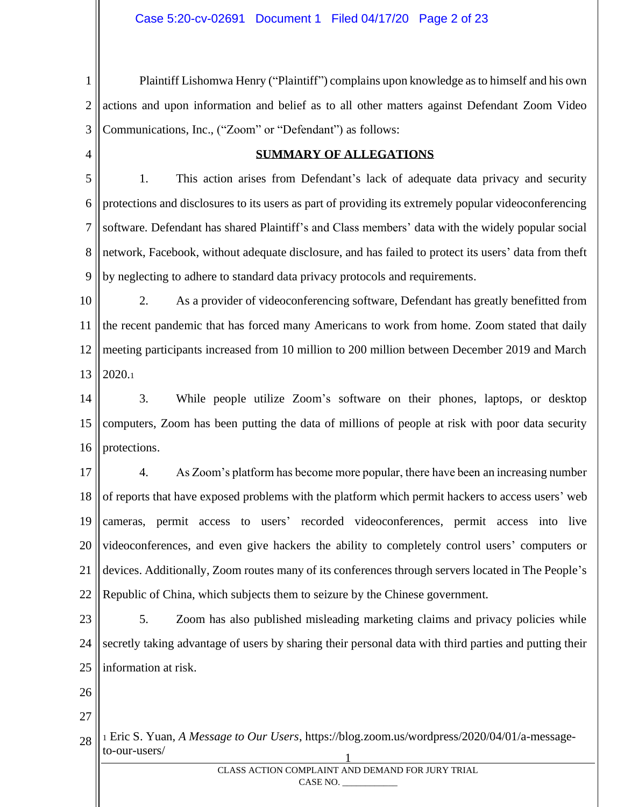1 2 3 Plaintiff Lishomwa Henry ("Plaintiff") complains upon knowledge as to himself and his own actions and upon information and belief as to all other matters against Defendant Zoom Video Communications, Inc., ("Zoom" or "Defendant") as follows:

4

#### **SUMMARY OF ALLEGATIONS**

5 6 7 8 9 1. This action arises from Defendant's lack of adequate data privacy and security protections and disclosures to its users as part of providing its extremely popular videoconferencing software. Defendant has shared Plaintiff's and Class members' data with the widely popular social network, Facebook, without adequate disclosure, and has failed to protect its users' data from theft by neglecting to adhere to standard data privacy protocols and requirements.

10 11 12 13 2. As a provider of videoconferencing software, Defendant has greatly benefitted from the recent pandemic that has forced many Americans to work from home. Zoom stated that daily meeting participants increased from 10 million to 200 million between December 2019 and March 2020.<sup>1</sup>

14 15 16 3. While people utilize Zoom's software on their phones, laptops, or desktop computers, Zoom has been putting the data of millions of people at risk with poor data security protections.

17 18 19 20 21 22 4. As Zoom's platform has become more popular, there have been an increasing number of reports that have exposed problems with the platform which permit hackers to access users' web cameras, permit access to users' recorded videoconferences, permit access into live videoconferences, and even give hackers the ability to completely control users' computers or devices. Additionally, Zoom routes many of its conferences through servers located in The People's Republic of China, which subjects them to seizure by the Chinese government.

- 23 24 25 5. Zoom has also published misleading marketing claims and privacy policies while secretly taking advantage of users by sharing their personal data with third parties and putting their information at risk.
- 26
- 27

28 1 <sup>1</sup> Eric S. Yuan, *A Message to Our Users*, https://blog.zoom.us/wordpress/2020/04/01/a-messageto-our-users/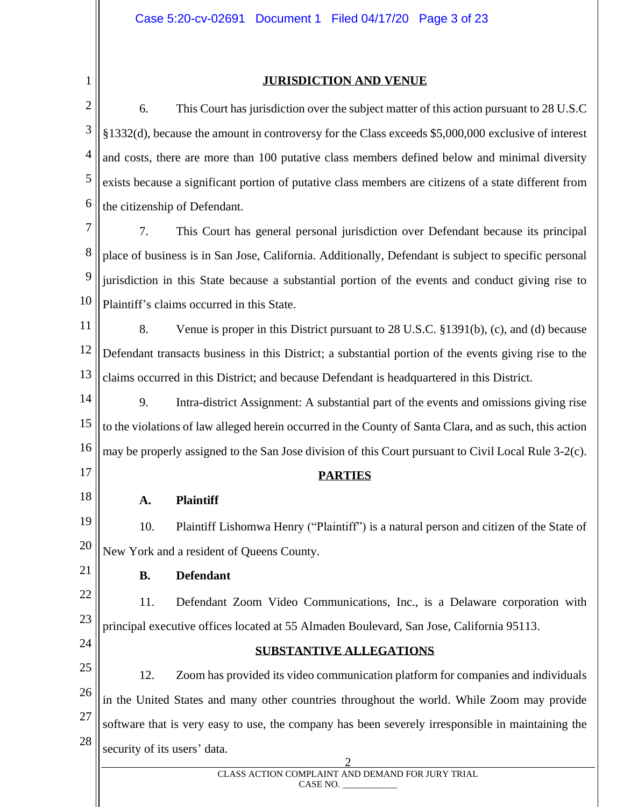# 1

#### **JURISDICTION AND VENUE**

2 3 4 5 6 6. This Court has jurisdiction over the subject matter of this action pursuant to 28 U.S.C §1332(d), because the amount in controversy for the Class exceeds \$5,000,000 exclusive of interest and costs, there are more than 100 putative class members defined below and minimal diversity exists because a significant portion of putative class members are citizens of a state different from the citizenship of Defendant.

7 8 9 10 7. This Court has general personal jurisdiction over Defendant because its principal place of business is in San Jose, California. Additionally, Defendant is subject to specific personal jurisdiction in this State because a substantial portion of the events and conduct giving rise to Plaintiff's claims occurred in this State.

11 12 13 8. Venue is proper in this District pursuant to 28 U.S.C. §1391(b), (c), and (d) because Defendant transacts business in this District; a substantial portion of the events giving rise to the claims occurred in this District; and because Defendant is headquartered in this District.

14 15 16 9. Intra-district Assignment: A substantial part of the events and omissions giving rise to the violations of law alleged herein occurred in the County of Santa Clara, and as such, this action may be properly assigned to the San Jose division of this Court pursuant to Civil Local Rule 3-2(c).

17

18

## **PARTIES**

**A. Plaintiff**

19 20 10. Plaintiff Lishomwa Henry ("Plaintiff") is a natural person and citizen of the State of New York and a resident of Queens County.

21

## **B. Defendant**

22 23 11. Defendant Zoom Video Communications, Inc., is a Delaware corporation with principal executive offices located at 55 Almaden Boulevard, San Jose, California 95113.

24

## **SUBSTANTIVE ALLEGATIONS**

25 26 27 28 12. Zoom has provided its video communication platform for companies and individuals in the United States and many other countries throughout the world. While Zoom may provide software that is very easy to use, the company has been severely irresponsible in maintaining the security of its users' data.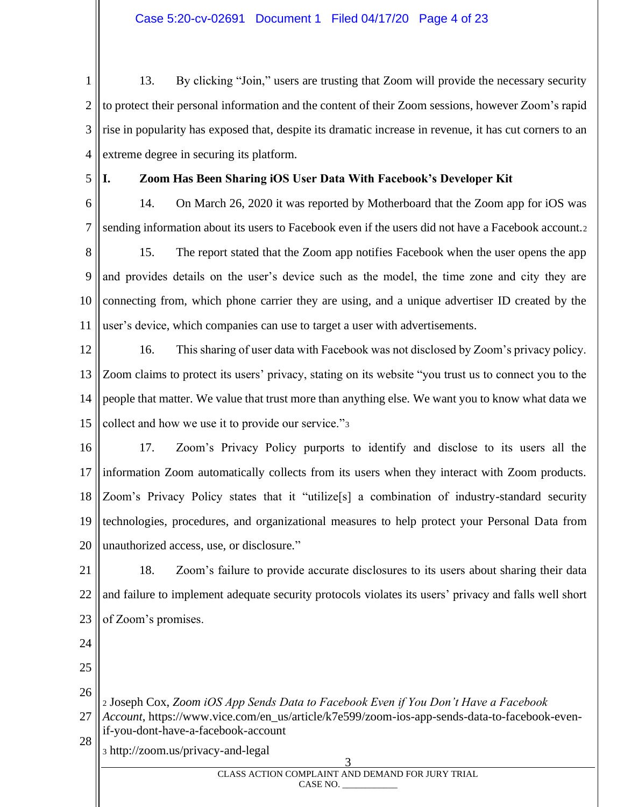1 2 3 4 13. By clicking "Join," users are trusting that Zoom will provide the necessary security to protect their personal information and the content of their Zoom sessions, however Zoom's rapid rise in popularity has exposed that, despite its dramatic increase in revenue, it has cut corners to an extreme degree in securing its platform.

5

### **I. Zoom Has Been Sharing iOS User Data With Facebook's Developer Kit**

6 7 14. On March 26, 2020 it was reported by Motherboard that the Zoom app for iOS was sending information about its users to Facebook even if the users did not have a Facebook account.<sup>2</sup>

8 9 10 11 15. The report stated that the Zoom app notifies Facebook when the user opens the app and provides details on the user's device such as the model, the time zone and city they are connecting from, which phone carrier they are using, and a unique advertiser ID created by the user's device, which companies can use to target a user with advertisements.

12 13 14 15 16. This sharing of user data with Facebook was not disclosed by Zoom's privacy policy. Zoom claims to protect its users' privacy, stating on its website "you trust us to connect you to the people that matter. We value that trust more than anything else. We want you to know what data we collect and how we use it to provide our service."<sup>3</sup>

16 17 18 19 20 17. Zoom's Privacy Policy purports to identify and disclose to its users all the information Zoom automatically collects from its users when they interact with Zoom products. Zoom's Privacy Policy states that it "utilize[s] a combination of industry-standard security technologies, procedures, and organizational measures to help protect your Personal Data from unauthorized access, use, or disclosure."

21 22 23 18. Zoom's failure to provide accurate disclosures to its users about sharing their data and failure to implement adequate security protocols violates its users' privacy and falls well short of Zoom's promises.

24

25

26 <sup>2</sup> Joseph Cox, *Zoom iOS App Sends Data to Facebook Even if You Don't Have a Facebook* 

27 28 *Account*, https://www.vice.com/en\_us/article/k7e599/zoom-ios-app-sends-data-to-facebook-evenif-you-dont-have-a-facebook-account

<sup>3</sup> http://zoom.us/privacy-and-legal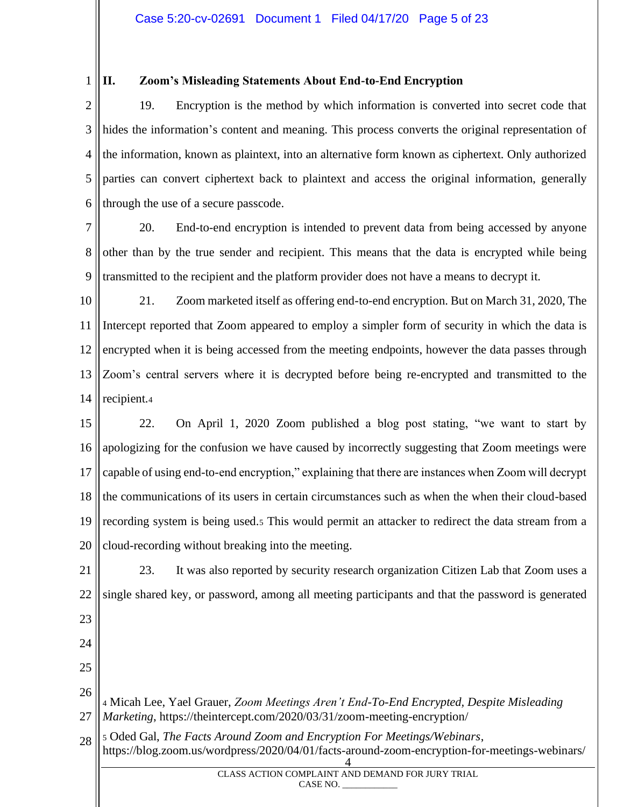#### 1 **II. Zoom's Misleading Statements About End-to-End Encryption**

2 3 4 5 6 19. Encryption is the method by which information is converted into secret code that hides the information's content and meaning. This process converts the original representation of the information, known as plaintext, into an alternative form known as ciphertext. Only authorized parties can convert ciphertext back to plaintext and access the original information, generally through the use of a secure passcode.

7 8 9 20. End-to-end encryption is intended to prevent data from being accessed by anyone other than by the true sender and recipient. This means that the data is encrypted while being transmitted to the recipient and the platform provider does not have a means to decrypt it.

10 11 12 13 14 21. Zoom marketed itself as offering end-to-end encryption. But on March 31, 2020, The Intercept reported that Zoom appeared to employ a simpler form of security in which the data is encrypted when it is being accessed from the meeting endpoints, however the data passes through Zoom's central servers where it is decrypted before being re-encrypted and transmitted to the recipient.<sup>4</sup>

15 16 17 18 19 20 22. On April 1, 2020 Zoom published a blog post stating, "we want to start by apologizing for the confusion we have caused by incorrectly suggesting that Zoom meetings were capable of using end-to-end encryption," explaining that there are instances when Zoom will decrypt the communications of its users in certain circumstances such as when the when their cloud-based recording system is being used.<sup>5</sup> This would permit an attacker to redirect the data stream from a cloud-recording without breaking into the meeting.

21 22 23 24 25 26 27 28 4 23. It was also reported by security research organization Citizen Lab that Zoom uses a single shared key, or password, among all meeting participants and that the password is generated <sup>4</sup> Micah Lee, Yael Grauer, *Zoom Meetings Aren't End-To-End Encrypted, Despite Misleading Marketing*, https://theintercept.com/2020/03/31/zoom-meeting-encryption/ <sup>5</sup> Oded Gal, *The Facts Around Zoom and Encryption For Meetings/Webinars*, https://blog.zoom.us/wordpress/2020/04/01/facts-around-zoom-encryption-for-meetings-webinars/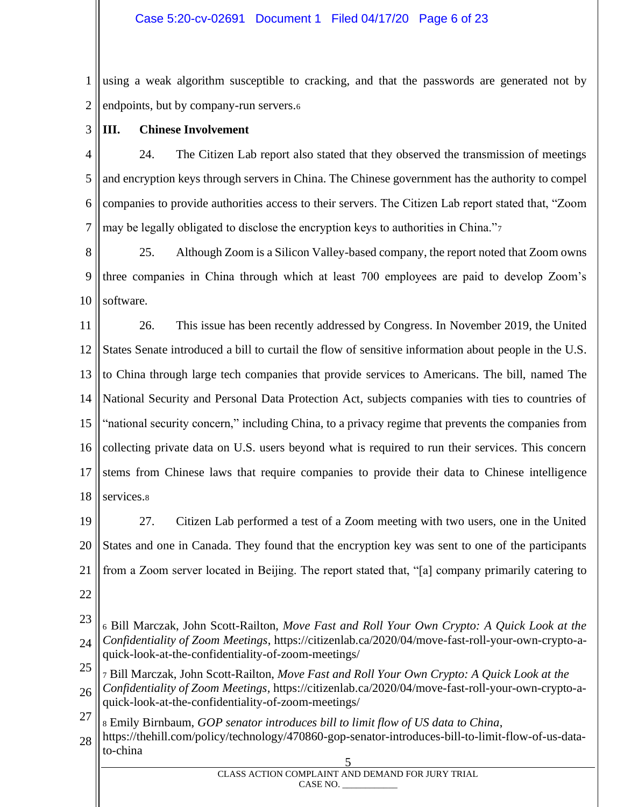1 2 using a weak algorithm susceptible to cracking, and that the passwords are generated not by endpoints, but by company-run servers.<sup>6</sup>

3

## **III. Chinese Involvement**

4 5 6 7 24. The Citizen Lab report also stated that they observed the transmission of meetings and encryption keys through servers in China. The Chinese government has the authority to compel companies to provide authorities access to their servers. The Citizen Lab report stated that, "Zoom may be legally obligated to disclose the encryption keys to authorities in China."<sup>7</sup>

8 9 10 25. Although Zoom is a Silicon Valley-based company, the report noted that Zoom owns three companies in China through which at least 700 employees are paid to develop Zoom's software.

11 12 13 14 15 16 17 18 26. This issue has been recently addressed by Congress. In November 2019, the United States Senate introduced a bill to curtail the flow of sensitive information about people in the U.S. to China through large tech companies that provide services to Americans. The bill, named The National Security and Personal Data Protection Act, subjects companies with ties to countries of "national security concern," including China, to a privacy regime that prevents the companies from collecting private data on U.S. users beyond what is required to run their services. This concern stems from Chinese laws that require companies to provide their data to Chinese intelligence services.<sup>8</sup>

19 20 21 22 27. Citizen Lab performed a test of a Zoom meeting with two users, one in the United States and one in Canada. They found that the encryption key was sent to one of the participants from a Zoom server located in Beijing. The report stated that, "[a] company primarily catering to

- 
- 23 24 <sup>6</sup> Bill Marczak, John Scott-Railton, *Move Fast and Roll Your Own Crypto: A Quick Look at the Confidentiality of Zoom Meetings*, https://citizenlab.ca/2020/04/move-fast-roll-your-own-crypto-aquick-look-at-the-confidentiality-of-zoom-meetings/
- 25 26 <sup>7</sup> Bill Marczak, John Scott-Railton, *Move Fast and Roll Your Own Crypto: A Quick Look at the Confidentiality of Zoom Meetings,* https://citizenlab.ca/2020/04/move-fast-roll-your-own-crypto-aquick-look-at-the-confidentiality-of-zoom-meetings/
- 27 <sup>8</sup> Emily Birnbaum, *GOP senator introduces bill to limit flow of US data to China*,
- 28 5 https://thehill.com/policy/technology/470860-gop-senator-introduces-bill-to-limit-flow-of-us-datato-china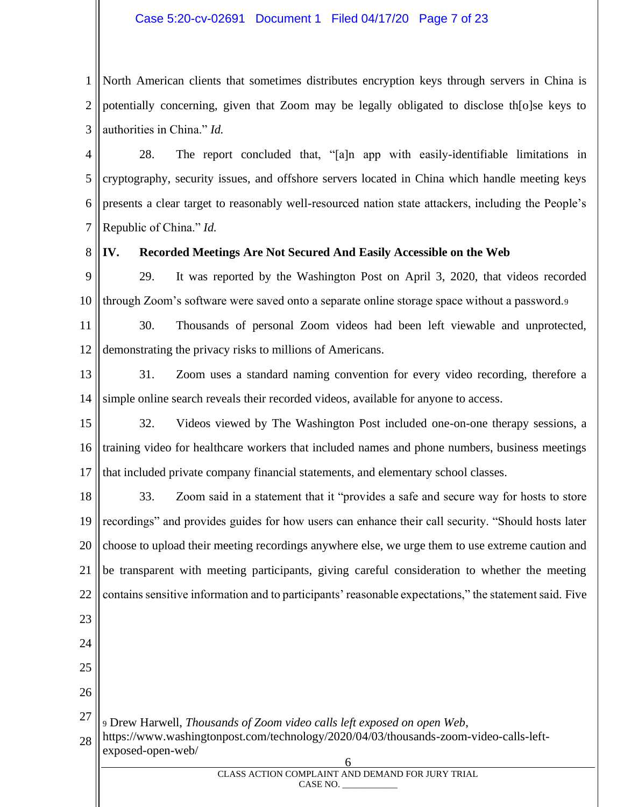#### Case 5:20-cv-02691 Document 1 Filed 04/17/20 Page 7 of 23

1 2 3 North American clients that sometimes distributes encryption keys through servers in China is potentially concerning, given that Zoom may be legally obligated to disclose th[o]se keys to authorities in China." *Id.*

4 5 6 7 28. The report concluded that, "[a]n app with easily-identifiable limitations in cryptography, security issues, and offshore servers located in China which handle meeting keys presents a clear target to reasonably well-resourced nation state attackers, including the People's Republic of China." *Id.*

8 **IV. Recorded Meetings Are Not Secured And Easily Accessible on the Web**

9 10 29. It was reported by the Washington Post on April 3, 2020, that videos recorded through Zoom's software were saved onto a separate online storage space without a password.<sup>9</sup>

11 12 30. Thousands of personal Zoom videos had been left viewable and unprotected, demonstrating the privacy risks to millions of Americans.

13 14 31. Zoom uses a standard naming convention for every video recording, therefore a simple online search reveals their recorded videos, available for anyone to access.

15 16 17 32. Videos viewed by The Washington Post included one-on-one therapy sessions, a training video for healthcare workers that included names and phone numbers, business meetings that included private company financial statements, and elementary school classes.

18 19 20 21 22 33. Zoom said in a statement that it "provides a safe and secure way for hosts to store recordings" and provides guides for how users can enhance their call security. "Should hosts later choose to upload their meeting recordings anywhere else, we urge them to use extreme caution and be transparent with meeting participants, giving careful consideration to whether the meeting contains sensitive information and to participants' reasonable expectations," the statement said. Five

- 23
- 24 25
- 26

27

<sup>9</sup> Drew Harwell, *Thousands of Zoom video calls left exposed on open Web*,

28 https://www.washingtonpost.com/technology/2020/04/03/thousands-zoom-video-calls-leftexposed-open-web/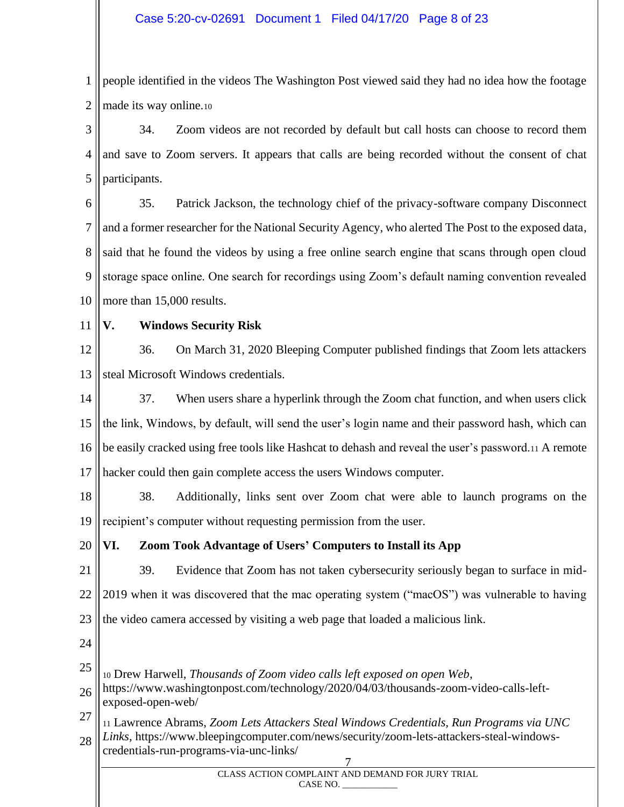1 2 people identified in the videos The Washington Post viewed said they had no idea how the footage made its way online.<sup>10</sup>

3 4 5 34. Zoom videos are not recorded by default but call hosts can choose to record them and save to Zoom servers. It appears that calls are being recorded without the consent of chat participants.

6 7 8 9 10 35. Patrick Jackson, the technology chief of the privacy-software company Disconnect and a former researcher for the National Security Agency, who alerted The Post to the exposed data, said that he found the videos by using a free online search engine that scans through open cloud storage space online. One search for recordings using Zoom's default naming convention revealed more than 15,000 results.

11

### **V. Windows Security Risk**

12 13 36. On March 31, 2020 Bleeping Computer published findings that Zoom lets attackers steal Microsoft Windows credentials.

14 15 16 17 37. When users share a hyperlink through the Zoom chat function, and when users click the link, Windows, by default, will send the user's login name and their password hash, which can be easily cracked using free tools like Hashcat to dehash and reveal the user's password.<sup>11</sup> A remote hacker could then gain complete access the users Windows computer.

18 19 38. Additionally, links sent over Zoom chat were able to launch programs on the recipient's computer without requesting permission from the user.

#### 20 **VI. Zoom Took Advantage of Users' Computers to Install its App**

21 22 23 39. Evidence that Zoom has not taken cybersecurity seriously began to surface in mid-2019 when it was discovered that the mac operating system ("macOS") was vulnerable to having the video camera accessed by visiting a web page that loaded a malicious link.

24

25 <sup>10</sup> Drew Harwell, *Thousands of Zoom video calls left exposed on open Web*,

26 https://www.washingtonpost.com/technology/2020/04/03/thousands-zoom-video-calls-leftexposed-open-web/

27 28 <sup>11</sup> Lawrence Abrams, *Zoom Lets Attackers Steal Windows Credentials, Run Programs via UNC Links*, https://www.bleepingcomputer.com/news/security/zoom-lets-attackers-steal-windowscredentials-run-programs-via-unc-links/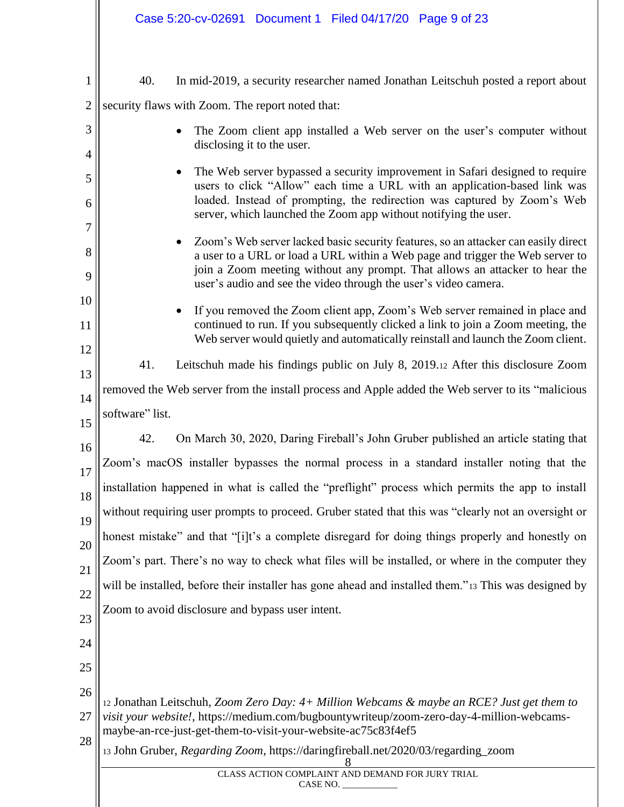|                                                                          | Case 5:20-cv-02691 Document 1 Filed 04/17/20 Page 9 of 23                                                                                                                                                                                                                                                                                                                                                                                                                                                                                                                                                                                                                                                                                                                                                                                                                                                                                                                                                                                                                                                                                                                                                                                      |
|--------------------------------------------------------------------------|------------------------------------------------------------------------------------------------------------------------------------------------------------------------------------------------------------------------------------------------------------------------------------------------------------------------------------------------------------------------------------------------------------------------------------------------------------------------------------------------------------------------------------------------------------------------------------------------------------------------------------------------------------------------------------------------------------------------------------------------------------------------------------------------------------------------------------------------------------------------------------------------------------------------------------------------------------------------------------------------------------------------------------------------------------------------------------------------------------------------------------------------------------------------------------------------------------------------------------------------|
| 1<br>$\overline{c}$<br>3<br>4<br>5<br>6<br>7<br>8<br>9<br>10<br>11<br>12 | 40.<br>In mid-2019, a security researcher named Jonathan Leitschuh posted a report about<br>security flaws with Zoom. The report noted that:<br>The Zoom client app installed a Web server on the user's computer without<br>disclosing it to the user.<br>The Web server bypassed a security improvement in Safari designed to require<br>users to click "Allow" each time a URL with an application-based link was<br>loaded. Instead of prompting, the redirection was captured by Zoom's Web<br>server, which launched the Zoom app without notifying the user.<br>Zoom's Web server lacked basic security features, so an attacker can easily direct<br>a user to a URL or load a URL within a Web page and trigger the Web server to<br>join a Zoom meeting without any prompt. That allows an attacker to hear the<br>user's audio and see the video through the user's video camera.<br>If you removed the Zoom client app, Zoom's Web server remained in place and<br>continued to run. If you subsequently clicked a link to join a Zoom meeting, the<br>Web server would quietly and automatically reinstall and launch the Zoom client.<br>41.<br>Leitschuh made his findings public on July 8, 2019.12 After this disclosure Zoom |
| 13<br>14                                                                 | removed the Web server from the install process and Apple added the Web server to its "malicious"                                                                                                                                                                                                                                                                                                                                                                                                                                                                                                                                                                                                                                                                                                                                                                                                                                                                                                                                                                                                                                                                                                                                              |
| 15<br>16<br>17<br>18<br>19<br>20<br>21<br>22<br>23<br>24                 | software" list.<br>42.<br>On March 30, 2020, Daring Fireball's John Gruber published an article stating that<br>Zoom's macOS installer bypasses the normal process in a standard installer noting that the<br>installation happened in what is called the "preflight" process which permits the app to install<br>without requiring user prompts to proceed. Gruber stated that this was "clearly not an oversight or<br>honest mistake" and that "[i]t's a complete disregard for doing things properly and honestly on<br>Zoom's part. There's no way to check what files will be installed, or where in the computer they<br>will be installed, before their installer has gone ahead and installed them."13 This was designed by<br>Zoom to avoid disclosure and bypass user intent.                                                                                                                                                                                                                                                                                                                                                                                                                                                       |
| 25<br>26<br>27<br>28                                                     | 12 Jonathan Leitschuh, Zoom Zero Day: 4+ Million Webcams & maybe an RCE? Just get them to<br>visit your website!, https://medium.com/bugbountywriteup/zoom-zero-day-4-million-webcams-<br>maybe-an-rce-just-get-them-to-visit-your-website-ac75c83f4ef5<br>13 John Gruber, Regarding Zoom, https://daringfireball.net/2020/03/regarding_zoom<br>CLASS ACTION COMPLAINT AND DEMAND FOR JURY TRIAL<br>CASE NO.                                                                                                                                                                                                                                                                                                                                                                                                                                                                                                                                                                                                                                                                                                                                                                                                                                   |
|                                                                          |                                                                                                                                                                                                                                                                                                                                                                                                                                                                                                                                                                                                                                                                                                                                                                                                                                                                                                                                                                                                                                                                                                                                                                                                                                                |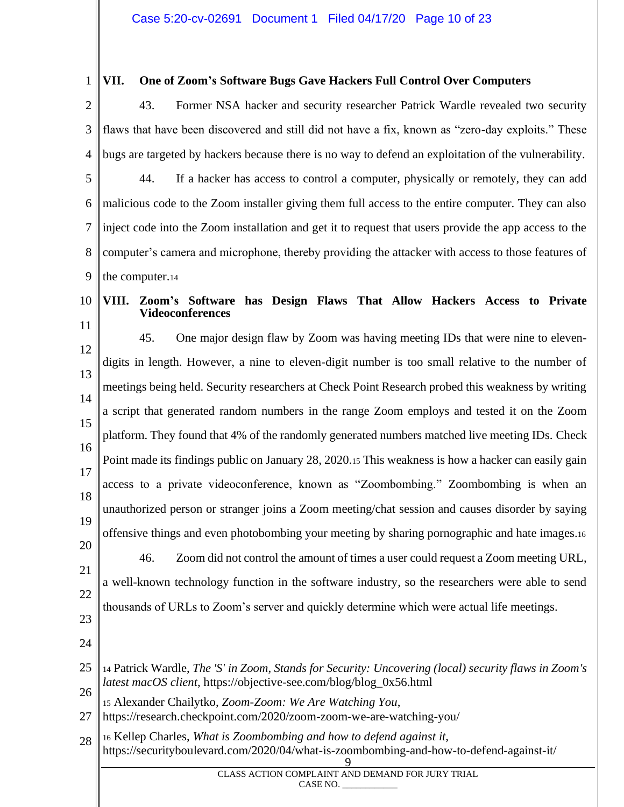#### 1 **VII. One of Zoom's Software Bugs Gave Hackers Full Control Over Computers**

2 3 4 43. Former NSA hacker and security researcher Patrick Wardle revealed two security flaws that have been discovered and still did not have a fix, known as "zero-day exploits." These bugs are targeted by hackers because there is no way to defend an exploitation of the vulnerability.

5 6 7 8 9 44. If a hacker has access to control a computer, physically or remotely, they can add malicious code to the Zoom installer giving them full access to the entire computer. They can also inject code into the Zoom installation and get it to request that users provide the app access to the computer's camera and microphone, thereby providing the attacker with access to those features of the computer.<sup>14</sup>

10

### **VIII. Zoom's Software has Design Flaws That Allow Hackers Access to Private Videoconferences**

11

12 13 14 15 16 17 18 19 20 45. One major design flaw by Zoom was having meeting IDs that were nine to elevendigits in length. However, a nine to eleven-digit number is too small relative to the number of meetings being held. Security researchers at Check Point Research probed this weakness by writing a script that generated random numbers in the range Zoom employs and tested it on the Zoom platform. They found that 4% of the randomly generated numbers matched live meeting IDs. Check Point made its findings public on January 28, 2020.<sup>15</sup> This weakness is how a hacker can easily gain access to a private videoconference, known as "Zoombombing." Zoombombing is when an unauthorized person or stranger joins a Zoom meeting/chat session and causes disorder by saying offensive things and even photobombing your meeting by sharing pornographic and hate images.<sup>16</sup>

- 21 22 23 46. Zoom did not control the amount of times a user could request a Zoom meeting URL, a well-known technology function in the software industry, so the researchers were able to send thousands of URLs to Zoom's server and quickly determine which were actual life meetings.
- 24
- 25 26 <sup>14</sup> Patrick Wardle, *The 'S' in Zoom, Stands for Security: Uncovering (local) security flaws in Zoom's latest macOS client*, https://objective-see.com/blog/blog\_0x56.html

<sup>15</sup> Alexander Chailytko, *Zoom-Zoom: We Are Watching You*,

27 https://research.checkpoint.com/2020/zoom-zoom-we-are-watching-you/

28 9 <sup>16</sup> Kellep Charles, *What is Zoombombing and how to defend against it*, https://securityboulevard.com/2020/04/what-is-zoombombing-and-how-to-defend-against-it/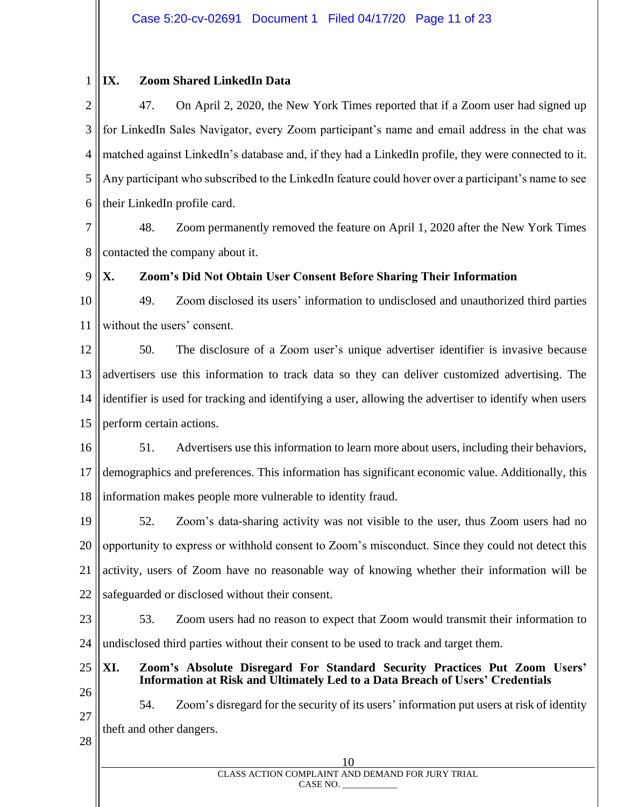#### 1 **IX. Zoom Shared LinkedIn Data**

2 3 4 5 6 47. On April 2, 2020, the New York Times reported that if a Zoom user had signed up for LinkedIn Sales Navigator, every Zoom participant's name and email address in the chat was matched against LinkedIn's database and, if they had a LinkedIn profile, they were connected to it. Any participant who subscribed to the LinkedIn feature could hover over a participant's name to see their LinkedIn profile card.

7 8 48. Zoom permanently removed the feature on April 1, 2020 after the New York Times contacted the company about it.

9

## **X. Zoom's Did Not Obtain User Consent Before Sharing Their Information**

10 11 49. Zoom disclosed its users' information to undisclosed and unauthorized third parties without the users' consent.

12 13 14 15 50. The disclosure of a Zoom user's unique advertiser identifier is invasive because advertisers use this information to track data so they can deliver customized advertising. The identifier is used for tracking and identifying a user, allowing the advertiser to identify when users perform certain actions.

16 17 18 51. Advertisers use this information to learn more about users, including their behaviors, demographics and preferences. This information has significant economic value. Additionally, this information makes people more vulnerable to identity fraud.

19 20 21 22 52. Zoom's data-sharing activity was not visible to the user, thus Zoom users had no opportunity to express or withhold consent to Zoom's misconduct. Since they could not detect this activity, users of Zoom have no reasonable way of knowing whether their information will be safeguarded or disclosed without their consent.

23 24 53. Zoom users had no reason to expect that Zoom would transmit their information to undisclosed third parties without their consent to be used to track and target them.

- **XI. Zoom's Absolute Disregard For Standard Security Practices Put Zoom Users' Information at Risk and Ultimately Led to a Data Breach of Users' Credentials**
- 26 27

25

54. Zoom's disregard for the security of its users' information put users at risk of identity theft and other dangers.

28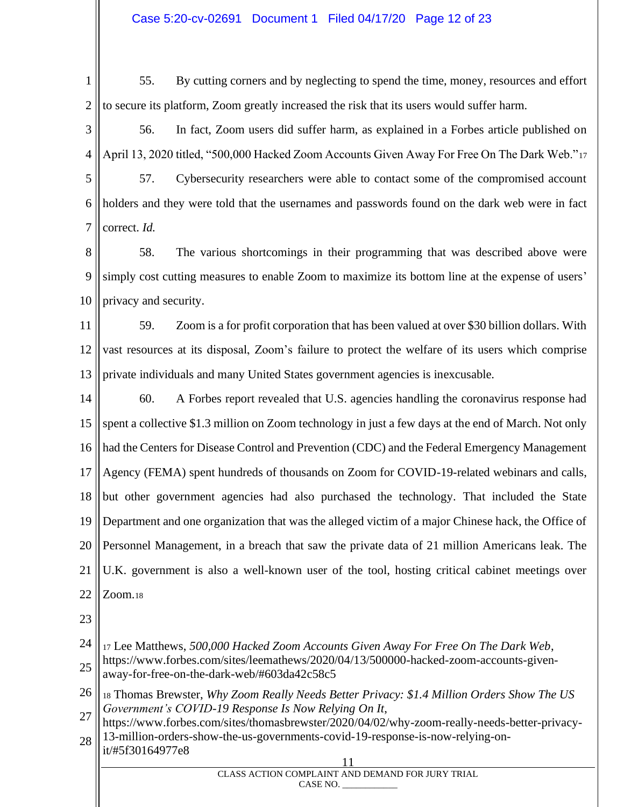#### Case 5:20-cv-02691 Document 1 Filed 04/17/20 Page 12 of 23

1 2 55. By cutting corners and by neglecting to spend the time, money, resources and effort to secure its platform, Zoom greatly increased the risk that its users would suffer harm.

3 4 56. In fact, Zoom users did suffer harm, as explained in a Forbes article published on April 13, 2020 titled, "500,000 Hacked Zoom Accounts Given Away For Free On The Dark Web."<sup>17</sup>

5 6 7 57. Cybersecurity researchers were able to contact some of the compromised account holders and they were told that the usernames and passwords found on the dark web were in fact correct. *Id.*

8 9 10 58. The various shortcomings in their programming that was described above were simply cost cutting measures to enable Zoom to maximize its bottom line at the expense of users' privacy and security.

11 12 13 59. Zoom is a for profit corporation that has been valued at over \$30 billion dollars. With vast resources at its disposal, Zoom's failure to protect the welfare of its users which comprise private individuals and many United States government agencies is inexcusable.

14 15 16 17 18 19 20 21 22 60. A Forbes report revealed that U.S. agencies handling the coronavirus response had spent a collective \$1.3 million on Zoom technology in just a few days at the end of March. Not only had the Centers for Disease Control and Prevention (CDC) and the Federal Emergency Management Agency (FEMA) spent hundreds of thousands on Zoom for COVID-19-related webinars and calls, but other government agencies had also purchased the technology. That included the State Department and one organization that was the alleged victim of a major Chinese hack, the Office of Personnel Management, in a breach that saw the private data of 21 million Americans leak. The U.K. government is also a well-known user of the tool, hosting critical cabinet meetings over Zoom.<sup>18</sup>

23

24 25 <sup>17</sup> Lee Matthews, *500,000 Hacked Zoom Accounts Given Away For Free On The Dark Web*, https://www.forbes.com/sites/leemathews/2020/04/13/500000-hacked-zoom-accounts-givenaway-for-free-on-the-dark-web/#603da42c58c5

26 27 <sup>18</sup> Thomas Brewster, *Why Zoom Really Needs Better Privacy: \$1.4 Million Orders Show The US Government's COVID-19 Response Is Now Relying On It*,

28 https://www.forbes.com/sites/thomasbrewster/2020/04/02/why-zoom-really-needs-better-privacy-13-million-orders-show-the-us-governments-covid-19-response-is-now-relying-on-

it/#5f30164977e8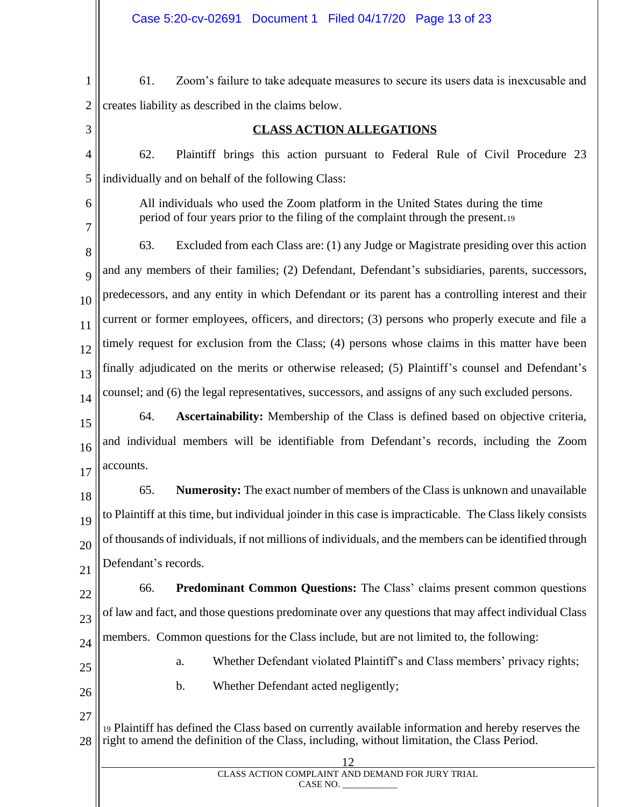- 1 2 61. Zoom's failure to take adequate measures to secure its users data is inexcusable and creates liability as described in the claims below.
- 3

## **CLASS ACTION ALLEGATIONS**

4 5 62. Plaintiff brings this action pursuant to Federal Rule of Civil Procedure 23 individually and on behalf of the following Class:

6

7

All individuals who used the Zoom platform in the United States during the time period of four years prior to the filing of the complaint through the present.<sup>19</sup>

8 9 10 11 12 13 14 63. Excluded from each Class are: (1) any Judge or Magistrate presiding over this action and any members of their families; (2) Defendant, Defendant's subsidiaries, parents, successors, predecessors, and any entity in which Defendant or its parent has a controlling interest and their current or former employees, officers, and directors; (3) persons who properly execute and file a timely request for exclusion from the Class; (4) persons whose claims in this matter have been finally adjudicated on the merits or otherwise released; (5) Plaintiff's counsel and Defendant's counsel; and (6) the legal representatives, successors, and assigns of any such excluded persons.

15 16 17 64. **Ascertainability:** Membership of the Class is defined based on objective criteria, and individual members will be identifiable from Defendant's records, including the Zoom accounts.

18 19 20 21 65. **Numerosity:** The exact number of members of the Class is unknown and unavailable to Plaintiff at this time, but individual joinder in this case is impracticable. The Class likely consists of thousands of individuals, if not millions of individuals, and the members can be identified through Defendant's records.

22 23 24 66. **Predominant Common Questions:** The Class' claims present common questions of law and fact, and those questions predominate over any questions that may affect individual Class members. Common questions for the Class include, but are not limited to, the following:

a. Whether Defendant violated Plaintiff's and Class members' privacy rights;

- 25
- 26
- b. Whether Defendant acted negligently;
- 27

28 <sup>19</sup> Plaintiff has defined the Class based on currently available information and hereby reserves the right to amend the definition of the Class, including, without limitation, the Class Period.

| CLASS ACTION COMPLAINT AND DEMAND FOR JURY TRIAL<br>CASE NO. |  |
|--------------------------------------------------------------|--|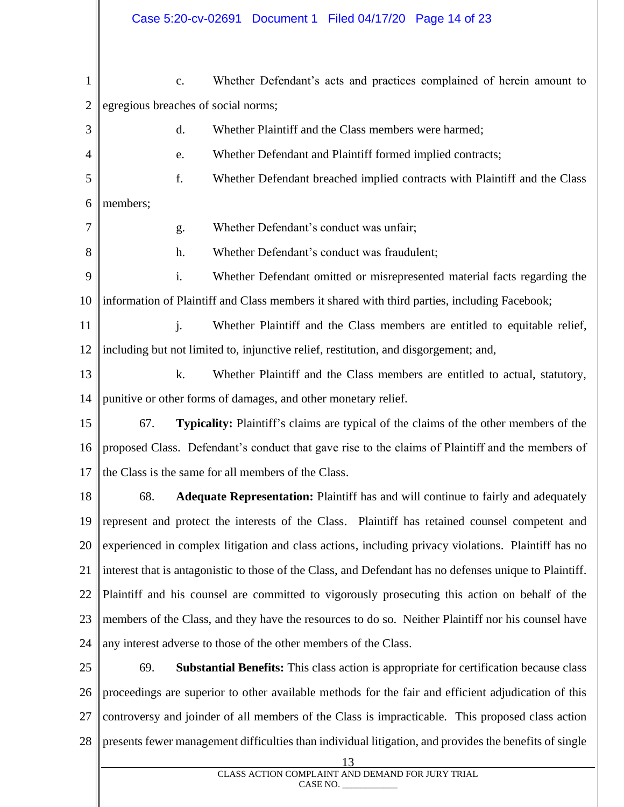1 2 3 4 5 6 7 8 9 10 11 12 13 14 15 16 17 18 19 20 21 22 23 24 25 c. Whether Defendant's acts and practices complained of herein amount to egregious breaches of social norms; d. Whether Plaintiff and the Class members were harmed; e. Whether Defendant and Plaintiff formed implied contracts; f. Whether Defendant breached implied contracts with Plaintiff and the Class members; g. Whether Defendant's conduct was unfair; h. Whether Defendant's conduct was fraudulent; i. Whether Defendant omitted or misrepresented material facts regarding the information of Plaintiff and Class members it shared with third parties, including Facebook; j. Whether Plaintiff and the Class members are entitled to equitable relief, including but not limited to, injunctive relief, restitution, and disgorgement; and, k. Whether Plaintiff and the Class members are entitled to actual, statutory, punitive or other forms of damages, and other monetary relief. 67. **Typicality:** Plaintiff's claims are typical of the claims of the other members of the proposed Class. Defendant's conduct that gave rise to the claims of Plaintiff and the members of the Class is the same for all members of the Class. 68. **Adequate Representation:** Plaintiff has and will continue to fairly and adequately represent and protect the interests of the Class. Plaintiff has retained counsel competent and experienced in complex litigation and class actions, including privacy violations. Plaintiff has no interest that is antagonistic to those of the Class, and Defendant has no defenses unique to Plaintiff. Plaintiff and his counsel are committed to vigorously prosecuting this action on behalf of the members of the Class, and they have the resources to do so. Neither Plaintiff nor his counsel have any interest adverse to those of the other members of the Class. 69. **Substantial Benefits:** This class action is appropriate for certification because class

26 27 28 proceedings are superior to other available methods for the fair and efficient adjudication of this controversy and joinder of all members of the Class is impracticable. This proposed class action presents fewer management difficulties than individual litigation, and provides the benefits of single

13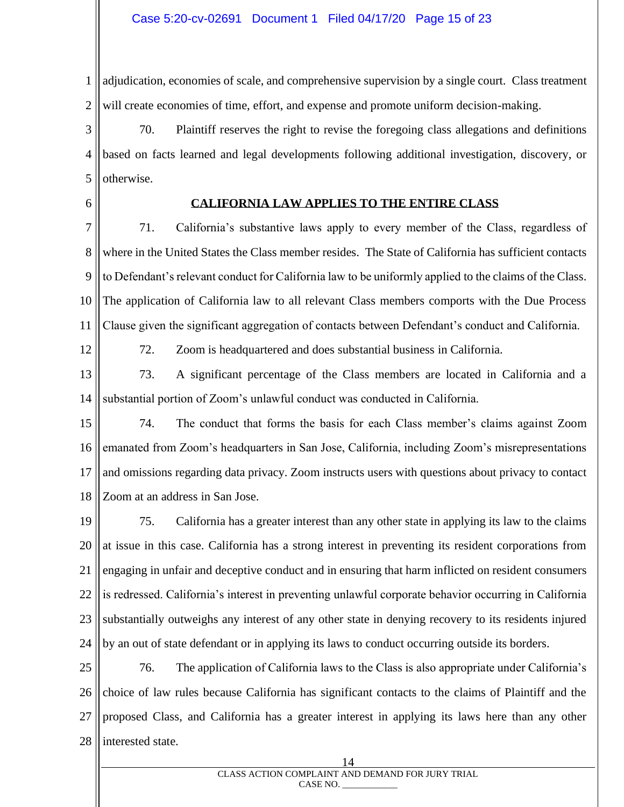1 2 adjudication, economies of scale, and comprehensive supervision by a single court. Class treatment will create economies of time, effort, and expense and promote uniform decision-making.

3 4 5 70. Plaintiff reserves the right to revise the foregoing class allegations and definitions based on facts learned and legal developments following additional investigation, discovery, or otherwise.

6

#### **CALIFORNIA LAW APPLIES TO THE ENTIRE CLASS**

7 8 9 10 11 71. California's substantive laws apply to every member of the Class, regardless of where in the United States the Class member resides. The State of California has sufficient contacts to Defendant's relevant conduct for California law to be uniformly applied to the claims of the Class. The application of California law to all relevant Class members comports with the Due Process Clause given the significant aggregation of contacts between Defendant's conduct and California.

12

72. Zoom is headquartered and does substantial business in California.

13 14 73. A significant percentage of the Class members are located in California and a substantial portion of Zoom's unlawful conduct was conducted in California.

15 16 17 18 74. The conduct that forms the basis for each Class member's claims against Zoom emanated from Zoom's headquarters in San Jose, California, including Zoom's misrepresentations and omissions regarding data privacy. Zoom instructs users with questions about privacy to contact Zoom at an address in San Jose.

19 20 21 22 23 24 75. California has a greater interest than any other state in applying its law to the claims at issue in this case. California has a strong interest in preventing its resident corporations from engaging in unfair and deceptive conduct and in ensuring that harm inflicted on resident consumers is redressed. California's interest in preventing unlawful corporate behavior occurring in California substantially outweighs any interest of any other state in denying recovery to its residents injured by an out of state defendant or in applying its laws to conduct occurring outside its borders.

25 26 27 28 76. The application of California laws to the Class is also appropriate under California's choice of law rules because California has significant contacts to the claims of Plaintiff and the proposed Class, and California has a greater interest in applying its laws here than any other interested state.

#### 14 CLASS ACTION COMPLAINT AND DEMAND FOR JURY TRIAL CASE NO.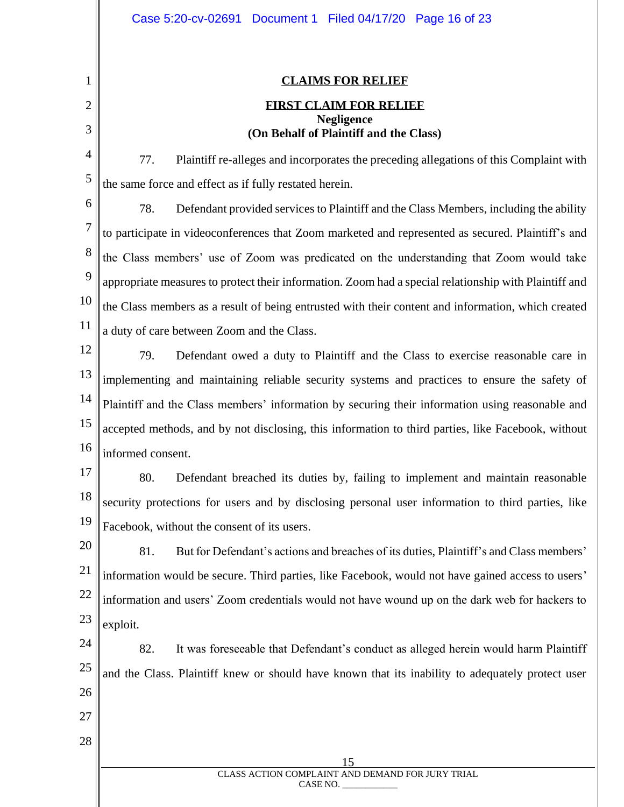|                | Case 5:20-cv-02691 Document 1 Filed 04/17/20 Page 16 of 23                                            |  |  |  |  |  |  |  |
|----------------|-------------------------------------------------------------------------------------------------------|--|--|--|--|--|--|--|
|                |                                                                                                       |  |  |  |  |  |  |  |
| 1              | <b>CLAIMS FOR RELIEF</b>                                                                              |  |  |  |  |  |  |  |
| $\overline{c}$ | <b>FIRST CLAIM FOR RELIEF</b><br><b>Negligence</b>                                                    |  |  |  |  |  |  |  |
| 3              | (On Behalf of Plaintiff and the Class)                                                                |  |  |  |  |  |  |  |
| 4              | 77.<br>Plaintiff re-alleges and incorporates the preceding allegations of this Complaint with         |  |  |  |  |  |  |  |
| 5              | the same force and effect as if fully restated herein.                                                |  |  |  |  |  |  |  |
| 6              | 78.<br>Defendant provided services to Plaintiff and the Class Members, including the ability          |  |  |  |  |  |  |  |
| 7              | to participate in videoconferences that Zoom marketed and represented as secured. Plaintiff's and     |  |  |  |  |  |  |  |
| 8              | the Class members' use of Zoom was predicated on the understanding that Zoom would take               |  |  |  |  |  |  |  |
| 9              | appropriate measures to protect their information. Zoom had a special relationship with Plaintiff and |  |  |  |  |  |  |  |
| 10             | the Class members as a result of being entrusted with their content and information, which created    |  |  |  |  |  |  |  |
| 11             | a duty of care between Zoom and the Class.                                                            |  |  |  |  |  |  |  |
| 12             | 79.<br>Defendant owed a duty to Plaintiff and the Class to exercise reasonable care in                |  |  |  |  |  |  |  |
| 13             | implementing and maintaining reliable security systems and practices to ensure the safety of          |  |  |  |  |  |  |  |
| 14             | Plaintiff and the Class members' information by securing their information using reasonable and       |  |  |  |  |  |  |  |
| 15             | accepted methods, and by not disclosing, this information to third parties, like Facebook, without    |  |  |  |  |  |  |  |
| 16             | informed consent.                                                                                     |  |  |  |  |  |  |  |
| 17             | 80.<br>Defendant breached its duties by, failing to implement and maintain reasonable                 |  |  |  |  |  |  |  |
| 18             | security protections for users and by disclosing personal user information to third parties, like     |  |  |  |  |  |  |  |
| 19             | Facebook, without the consent of its users.                                                           |  |  |  |  |  |  |  |
| 20             | 81.<br>But for Defendant's actions and breaches of its duties, Plaintiff's and Class members'         |  |  |  |  |  |  |  |
| 21             | information would be secure. Third parties, like Facebook, would not have gained access to users'     |  |  |  |  |  |  |  |
| 22             | information and users' Zoom credentials would not have wound up on the dark web for hackers to        |  |  |  |  |  |  |  |
| 23             | exploit.                                                                                              |  |  |  |  |  |  |  |
| 24             | 82.<br>It was foreseeable that Defendant's conduct as alleged herein would harm Plaintiff             |  |  |  |  |  |  |  |
| 25             | and the Class. Plaintiff knew or should have known that its inability to adequately protect user      |  |  |  |  |  |  |  |
| 26             |                                                                                                       |  |  |  |  |  |  |  |
| 27             |                                                                                                       |  |  |  |  |  |  |  |
| 28             |                                                                                                       |  |  |  |  |  |  |  |
|                | 15<br>CLASS ACTION COMPLAINT AND DEMAND FOR JURY TRIAL                                                |  |  |  |  |  |  |  |
|                | CASE NO.                                                                                              |  |  |  |  |  |  |  |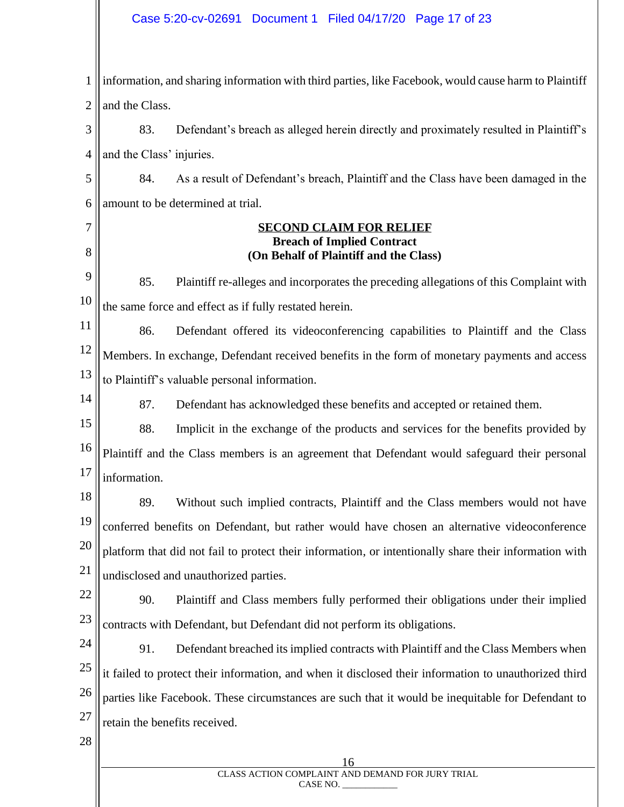#### Case 5:20-cv-02691 Document 1 Filed 04/17/20 Page 17 of 23

1 2 information, and sharing information with third parties, like Facebook, would cause harm to Plaintiff and the Class.

3 4 83. Defendant's breach as alleged herein directly and proximately resulted in Plaintiff's and the Class' injuries.

5 6 84. As a result of Defendant's breach, Plaintiff and the Class have been damaged in the amount to be determined at trial.

7

8

14

#### **SECOND CLAIM FOR RELIEF Breach of Implied Contract (On Behalf of Plaintiff and the Class)**

9 10 85. Plaintiff re-alleges and incorporates the preceding allegations of this Complaint with the same force and effect as if fully restated herein.

11 12 13 86. Defendant offered its videoconferencing capabilities to Plaintiff and the Class Members. In exchange, Defendant received benefits in the form of monetary payments and access to Plaintiff's valuable personal information.

87. Defendant has acknowledged these benefits and accepted or retained them.

15 16 17 88. Implicit in the exchange of the products and services for the benefits provided by Plaintiff and the Class members is an agreement that Defendant would safeguard their personal information.

18 19 20 21 89. Without such implied contracts, Plaintiff and the Class members would not have conferred benefits on Defendant, but rather would have chosen an alternative videoconference platform that did not fail to protect their information, or intentionally share their information with undisclosed and unauthorized parties.

22 23 90. Plaintiff and Class members fully performed their obligations under their implied contracts with Defendant, but Defendant did not perform its obligations.

24 25 26 27 91. Defendant breached its implied contracts with Plaintiff and the Class Members when it failed to protect their information, and when it disclosed their information to unauthorized third parties like Facebook. These circumstances are such that it would be inequitable for Defendant to retain the benefits received.

28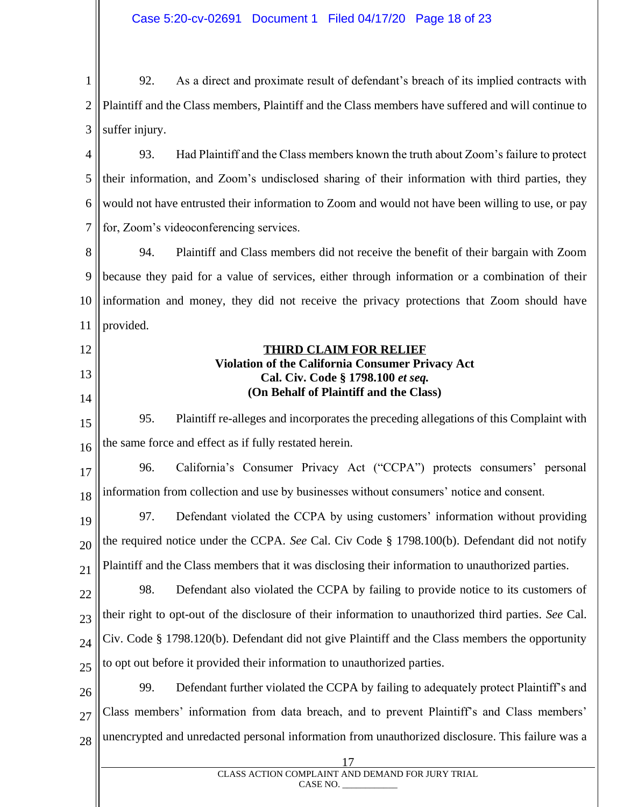| Case 5:20-cv-02691  Document 1  Filed 04/17/20  Page 18 of 23 |  |  |
|---------------------------------------------------------------|--|--|
|                                                               |  |  |

1 2 3 92. As a direct and proximate result of defendant's breach of its implied contracts with Plaintiff and the Class members, Plaintiff and the Class members have suffered and will continue to suffer injury.

4 5 6 7 93. Had Plaintiff and the Class members known the truth about Zoom's failure to protect their information, and Zoom's undisclosed sharing of their information with third parties, they would not have entrusted their information to Zoom and would not have been willing to use, or pay for, Zoom's videoconferencing services.

8 9 10 11 94. Plaintiff and Class members did not receive the benefit of their bargain with Zoom because they paid for a value of services, either through information or a combination of their information and money, they did not receive the privacy protections that Zoom should have provided.

12

13

14

#### **THIRD CLAIM FOR RELIEF Violation of the California Consumer Privacy Act Cal. Civ. Code § 1798.100** *et seq.* **(On Behalf of Plaintiff and the Class)**

15 16 95. Plaintiff re-alleges and incorporates the preceding allegations of this Complaint with the same force and effect as if fully restated herein.

17 18 96. California's Consumer Privacy Act ("CCPA") protects consumers' personal information from collection and use by businesses without consumers' notice and consent.

19 20 21 97. Defendant violated the CCPA by using customers' information without providing the required notice under the CCPA. *See* Cal. Civ Code § 1798.100(b). Defendant did not notify Plaintiff and the Class members that it was disclosing their information to unauthorized parties.

22 23 24 25 98. Defendant also violated the CCPA by failing to provide notice to its customers of their right to opt-out of the disclosure of their information to unauthorized third parties. *See* Cal. Civ. Code § 1798.120(b). Defendant did not give Plaintiff and the Class members the opportunity to opt out before it provided their information to unauthorized parties.

26 27 28 99. Defendant further violated the CCPA by failing to adequately protect Plaintiff's and Class members' information from data breach, and to prevent Plaintiff's and Class members' unencrypted and unredacted personal information from unauthorized disclosure. This failure was a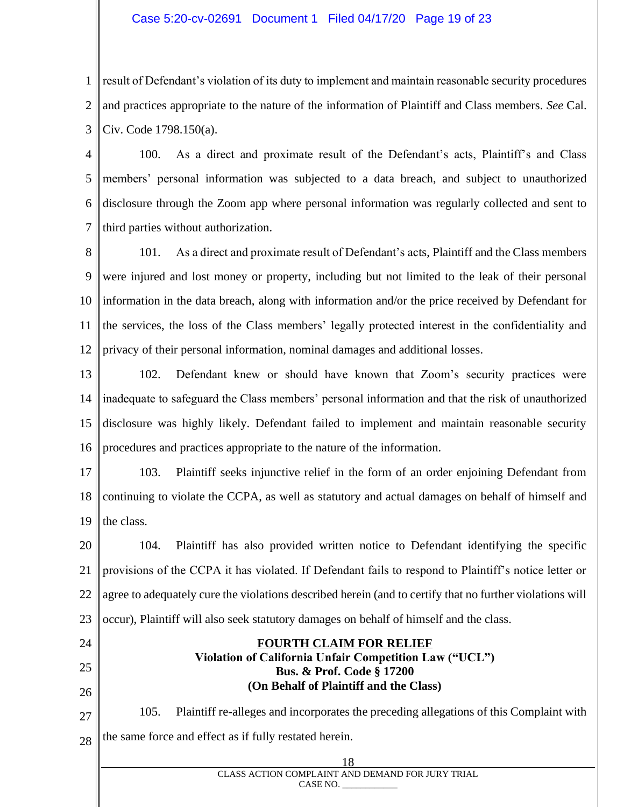#### Case 5:20-cv-02691 Document 1 Filed 04/17/20 Page 19 of 23

1 2 3 result of Defendant's violation of its duty to implement and maintain reasonable security procedures and practices appropriate to the nature of the information of Plaintiff and Class members. *See* Cal. Civ. Code 1798.150(a).

4 5 6 7 100. As a direct and proximate result of the Defendant's acts, Plaintiff's and Class members' personal information was subjected to a data breach, and subject to unauthorized disclosure through the Zoom app where personal information was regularly collected and sent to third parties without authorization.

8 9 10 11 12 101. As a direct and proximate result of Defendant's acts, Plaintiff and the Class members were injured and lost money or property, including but not limited to the leak of their personal information in the data breach, along with information and/or the price received by Defendant for the services, the loss of the Class members' legally protected interest in the confidentiality and privacy of their personal information, nominal damages and additional losses.

13 14 15 16 102. Defendant knew or should have known that Zoom's security practices were inadequate to safeguard the Class members' personal information and that the risk of unauthorized disclosure was highly likely. Defendant failed to implement and maintain reasonable security procedures and practices appropriate to the nature of the information.

17 18 19 103. Plaintiff seeks injunctive relief in the form of an order enjoining Defendant from continuing to violate the CCPA, as well as statutory and actual damages on behalf of himself and the class.

20 21 22 23 104. Plaintiff has also provided written notice to Defendant identifying the specific provisions of the CCPA it has violated. If Defendant fails to respond to Plaintiff's notice letter or agree to adequately cure the violations described herein (and to certify that no further violations will occur), Plaintiff will also seek statutory damages on behalf of himself and the class.

- 24
- 25
- 26

27 28 105. Plaintiff re-alleges and incorporates the preceding allegations of this Complaint with the same force and effect as if fully restated herein.

**FOURTH CLAIM FOR RELIEF Violation of California Unfair Competition Law ("UCL") Bus. & Prof. Code § 17200 (On Behalf of Plaintiff and the Class)**

| CLASS ACTION COMPLAINT AND DEMAND FOR JURY TRIAL<br>CASE NO. |
|--------------------------------------------------------------|
|                                                              |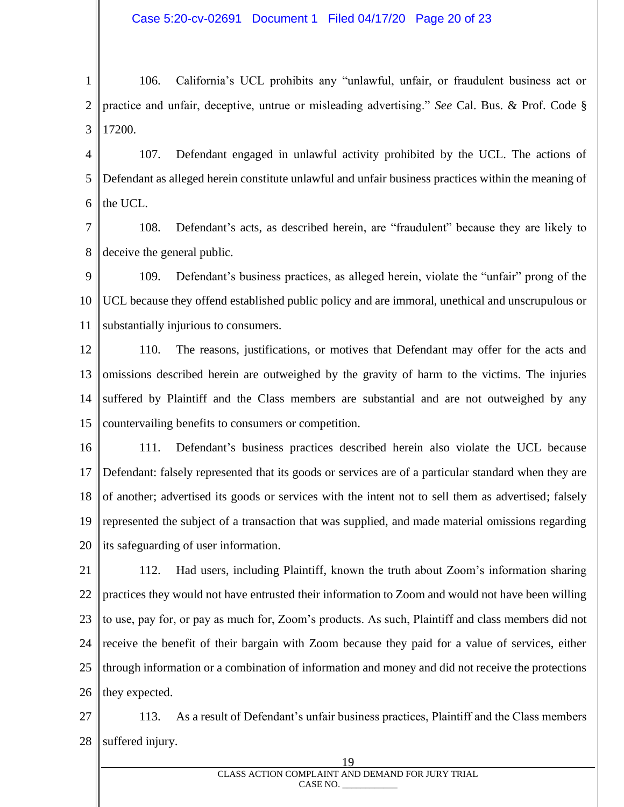1 2 3 106. California's UCL prohibits any "unlawful, unfair, or fraudulent business act or practice and unfair, deceptive, untrue or misleading advertising." *See* Cal. Bus. & Prof. Code § 17200.

4 5 6 107. Defendant engaged in unlawful activity prohibited by the UCL. The actions of Defendant as alleged herein constitute unlawful and unfair business practices within the meaning of the UCL.

7 8 108. Defendant's acts, as described herein, are "fraudulent" because they are likely to deceive the general public.

9 10 11 109. Defendant's business practices, as alleged herein, violate the "unfair" prong of the UCL because they offend established public policy and are immoral, unethical and unscrupulous or substantially injurious to consumers.

12 13 14 15 110. The reasons, justifications, or motives that Defendant may offer for the acts and omissions described herein are outweighed by the gravity of harm to the victims. The injuries suffered by Plaintiff and the Class members are substantial and are not outweighed by any countervailing benefits to consumers or competition.

16 17 18 19 20 111. Defendant's business practices described herein also violate the UCL because Defendant: falsely represented that its goods or services are of a particular standard when they are of another; advertised its goods or services with the intent not to sell them as advertised; falsely represented the subject of a transaction that was supplied, and made material omissions regarding its safeguarding of user information.

21 22 23 24 25 26 112. Had users, including Plaintiff, known the truth about Zoom's information sharing practices they would not have entrusted their information to Zoom and would not have been willing to use, pay for, or pay as much for, Zoom's products. As such, Plaintiff and class members did not receive the benefit of their bargain with Zoom because they paid for a value of services, either through information or a combination of information and money and did not receive the protections they expected.

27 28 113. As a result of Defendant's unfair business practices, Plaintiff and the Class members suffered injury.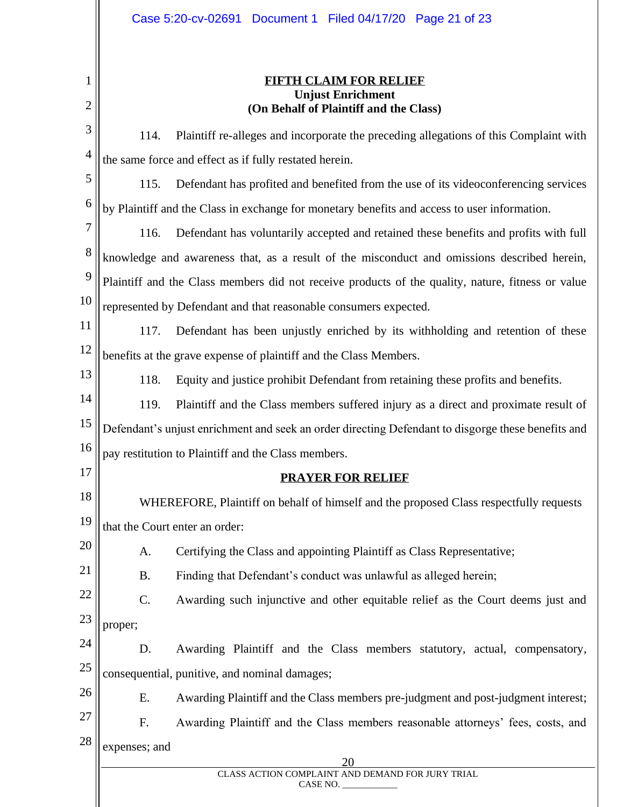| 1<br>2         |               | <b>FIFTH CLAIM FOR RELIEF</b><br><b>Unjust Enrichment</b><br>(On Behalf of Plaintiff and the Class) |
|----------------|---------------|-----------------------------------------------------------------------------------------------------|
| 3              | 114.          | Plaintiff re-alleges and incorporate the preceding allegations of this Complaint with               |
| $\overline{4}$ |               | the same force and effect as if fully restated herein.                                              |
| 5              | 115.          | Defendant has profited and benefited from the use of its videoconferencing services                 |
| 6              |               | by Plaintiff and the Class in exchange for monetary benefits and access to user information.        |
| 7              | 116.          | Defendant has voluntarily accepted and retained these benefits and profits with full                |
| 8              |               | knowledge and awareness that, as a result of the misconduct and omissions described herein,         |
| 9              |               | Plaintiff and the Class members did not receive products of the quality, nature, fitness or value   |
| 10             |               | represented by Defendant and that reasonable consumers expected.                                    |
| 11             | 117.          | Defendant has been unjustly enriched by its withholding and retention of these                      |
| 12             |               | benefits at the grave expense of plaintiff and the Class Members.                                   |
| 13             | 118.          | Equity and justice prohibit Defendant from retaining these profits and benefits.                    |
| 14             | 119.          | Plaintiff and the Class members suffered injury as a direct and proximate result of                 |
| 15             |               | Defendant's unjust enrichment and seek an order directing Defendant to disgorge these benefits and  |
| 16             |               | pay restitution to Plaintiff and the Class members.                                                 |
| 17             |               | <b>PRAYER FOR RELIEF</b>                                                                            |
| 18             |               | WHEREFORE, Plaintiff on behalf of himself and the proposed Class respectfully requests              |
| 19             |               | that the Court enter an order:                                                                      |
| 20             | A.            | Certifying the Class and appointing Plaintiff as Class Representative;                              |
| 21             | <b>B.</b>     | Finding that Defendant's conduct was unlawful as alleged herein;                                    |
| 22             | C.            | Awarding such injunctive and other equitable relief as the Court deems just and                     |
| 23             | proper;       |                                                                                                     |
| 24             | D.            | Awarding Plaintiff and the Class members statutory, actual, compensatory,                           |
| 25             |               | consequential, punitive, and nominal damages;                                                       |
| 26             | Ε.            | Awarding Plaintiff and the Class members pre-judgment and post-judgment interest;                   |
| 27             | F.            | Awarding Plaintiff and the Class members reasonable attorneys' fees, costs, and                     |
| 28             | expenses; and |                                                                                                     |
|                |               | 20<br>CLASS ACTION COMPLAINT AND DEMAND FOR JURY TRIAL                                              |
|                |               | CASE NO.                                                                                            |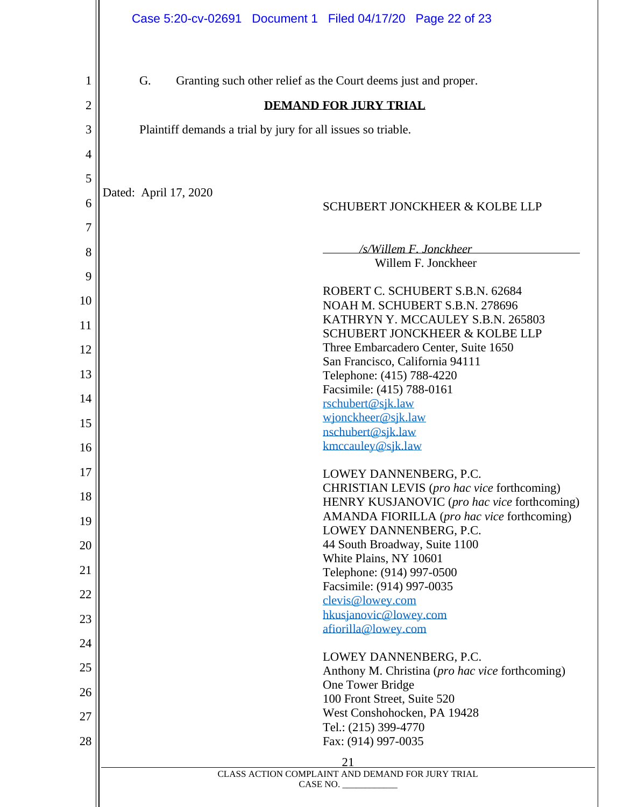|                | Case 5:20-cv-02691 Document 1 Filed 04/17/20 Page 22 of 23                                |  |  |  |  |  |  |  |  |  |
|----------------|-------------------------------------------------------------------------------------------|--|--|--|--|--|--|--|--|--|
| 1              | G.<br>Granting such other relief as the Court deems just and proper.                      |  |  |  |  |  |  |  |  |  |
|                |                                                                                           |  |  |  |  |  |  |  |  |  |
| 2              | <b>DEMAND FOR JURY TRIAL</b>                                                              |  |  |  |  |  |  |  |  |  |
| 3              | Plaintiff demands a trial by jury for all issues so triable.                              |  |  |  |  |  |  |  |  |  |
| $\overline{4}$ |                                                                                           |  |  |  |  |  |  |  |  |  |
| 5              | Dated: April 17, 2020                                                                     |  |  |  |  |  |  |  |  |  |
| 6              | <b>SCHUBERT JONCKHEER &amp; KOLBE LLP</b>                                                 |  |  |  |  |  |  |  |  |  |
| 7              |                                                                                           |  |  |  |  |  |  |  |  |  |
| 8              | /s/Willem F. Jonckheer<br>Willem F. Jonckheer                                             |  |  |  |  |  |  |  |  |  |
| 9              |                                                                                           |  |  |  |  |  |  |  |  |  |
| 10             | ROBERT C. SCHUBERT S.B.N. 62684<br>NOAH M. SCHUBERT S.B.N. 278696                         |  |  |  |  |  |  |  |  |  |
| 11             | KATHRYN Y. MCCAULEY S.B.N. 265803<br>SCHUBERT JONCKHEER & KOLBE LLP                       |  |  |  |  |  |  |  |  |  |
| 12             | Three Embarcadero Center, Suite 1650                                                      |  |  |  |  |  |  |  |  |  |
| 13             | San Francisco, California 94111<br>Telephone: (415) 788-4220                              |  |  |  |  |  |  |  |  |  |
| 14             | Facsimile: (415) 788-0161                                                                 |  |  |  |  |  |  |  |  |  |
|                | rschubert@sjk.law<br>wjonckheer@sjk.law                                                   |  |  |  |  |  |  |  |  |  |
| 15             | nschubert@sjk.law                                                                         |  |  |  |  |  |  |  |  |  |
| 16             | kmccauley@sjk.law                                                                         |  |  |  |  |  |  |  |  |  |
| 17             | LOWEY DANNENBERG, P.C.                                                                    |  |  |  |  |  |  |  |  |  |
| 18             | CHRISTIAN LEVIS (pro hac vice forthcoming)<br>HENRY KUSJANOVIC (pro hac vice forthcoming) |  |  |  |  |  |  |  |  |  |
| 19             | AMANDA FIORILLA (pro hac vice forthcoming)                                                |  |  |  |  |  |  |  |  |  |
| 20             | LOWEY DANNENBERG, P.C.<br>44 South Broadway, Suite 1100                                   |  |  |  |  |  |  |  |  |  |
| 21             | White Plains, NY 10601<br>Telephone: (914) 997-0500                                       |  |  |  |  |  |  |  |  |  |
|                | Facsimile: (914) 997-0035                                                                 |  |  |  |  |  |  |  |  |  |
| 22             | clevis@lowey.com<br>hkusjanovic@lowey.com                                                 |  |  |  |  |  |  |  |  |  |
| 23             | afiorilla@lowey.com                                                                       |  |  |  |  |  |  |  |  |  |
| 24             | LOWEY DANNENBERG, P.C.                                                                    |  |  |  |  |  |  |  |  |  |
| 25             | Anthony M. Christina (pro hac vice forthcoming)                                           |  |  |  |  |  |  |  |  |  |
| 26             | One Tower Bridge<br>100 Front Street, Suite 520                                           |  |  |  |  |  |  |  |  |  |
| 27             | West Conshohocken, PA 19428                                                               |  |  |  |  |  |  |  |  |  |
| 28             | Tel.: (215) 399-4770                                                                      |  |  |  |  |  |  |  |  |  |
|                | Fax: (914) 997-0035<br>21                                                                 |  |  |  |  |  |  |  |  |  |
|                | CLASS ACTION COMPLAINT AND DEMAND FOR JURY TRIAL                                          |  |  |  |  |  |  |  |  |  |
|                | CASE NO.                                                                                  |  |  |  |  |  |  |  |  |  |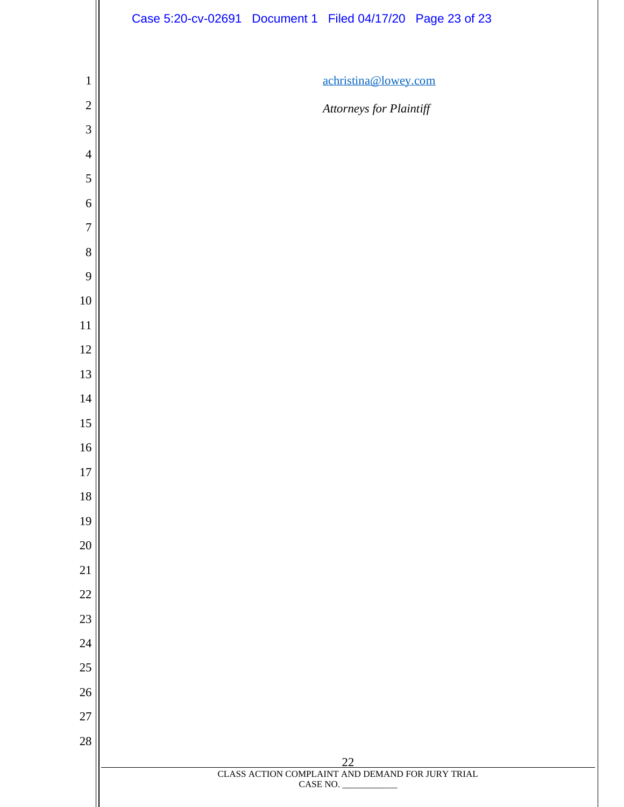|                | Case 5:20-cv-02691 Document 1 Filed 04/17/20 Page 23 of 23   |
|----------------|--------------------------------------------------------------|
|                |                                                              |
| $\mathbf{1}$   | achristina@lowey.com                                         |
| $\overline{c}$ | Attorneys for Plaintiff                                      |
| 3              |                                                              |
| $\overline{4}$ |                                                              |
| 5              |                                                              |
| 6              |                                                              |
| $\overline{7}$ |                                                              |
| 8              |                                                              |
| 9              |                                                              |
| $10\,$         |                                                              |
| 11             |                                                              |
| $12\,$         |                                                              |
| 13             |                                                              |
| 14             |                                                              |
| 15             |                                                              |
| 16             |                                                              |
| $17\,$         |                                                              |
| 18             |                                                              |
| 19             |                                                              |
| $20\,$         |                                                              |
| 21             |                                                              |
| $22\,$         |                                                              |
| $23\,$         |                                                              |
| $24\,$         |                                                              |
| $25\,$         |                                                              |
| $26\,$         |                                                              |
| 27<br>$28\,$   |                                                              |
|                | 22                                                           |
|                | CLASS ACTION COMPLAINT AND DEMAND FOR JURY TRIAL<br>CASE NO. |
|                |                                                              |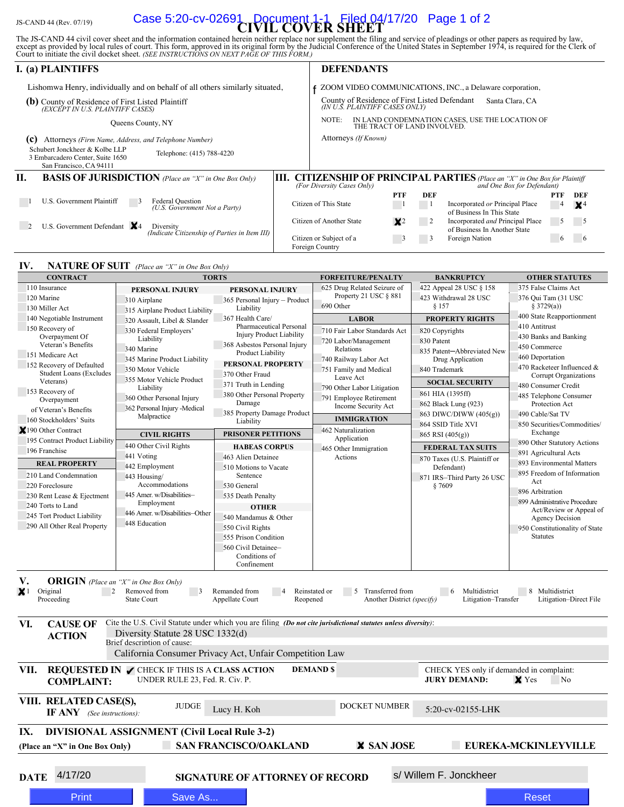# JS-CAND 44 (Rev. 07/19) **CIVIL COVER SHEET** Case 5:20-cv-02691 Document 1-1 Filed 04/17/20 Page 1 of 2

The JS-CAND 44 civil cover sheet and the information contained herein neither replace nor supplement the filing and service of pleadings or other papers as required by law, except as provided by local rules of court. This

| <b>I.</b> (a) PLAINTIFFS                                                                                                   | <b>DEFENDANTS</b>                                                                                                                          |  |  |  |  |  |  |
|----------------------------------------------------------------------------------------------------------------------------|--------------------------------------------------------------------------------------------------------------------------------------------|--|--|--|--|--|--|
| Lishomwa Henry, individually and on behalf of all others similarly situated,                                               | ZOOM VIDEO COMMUNICATIONS, INC., a Delaware corporation,                                                                                   |  |  |  |  |  |  |
| (b) County of Residence of First Listed Plaintiff<br>(EXCEPT IN U.S. PLAINTIFF CASES)                                      | County of Residence of First Listed Defendant<br>Santa Clara, CA<br>(IN U.S. PLAINTIFF CASES ONLY)                                         |  |  |  |  |  |  |
| Queens County, NY                                                                                                          | IN LAND CONDEMNATION CASES, USE THE LOCATION OF<br>NOTE:<br>THE TRACT OF LAND INVOLVED.                                                    |  |  |  |  |  |  |
| (c)<br>Attorneys (Firm Name, Address, and Telephone Number)                                                                | Attorneys (If Known)                                                                                                                       |  |  |  |  |  |  |
| Schubert Jonckheer & Kolbe LLP<br>Telephone: (415) 788-4220<br>3 Embarcadero Center, Suite 1650<br>San Francisco, CA 94111 |                                                                                                                                            |  |  |  |  |  |  |
| П.<br><b>BASIS OF JURISDICTION</b> (Place an "X" in One Box Only)<br>HL.                                                   | <b>CITIZENSHIP OF PRINCIPAL PARTIES</b> (Place an "X" in One Box for Plaintiff<br>(For Diversity Cases Only)<br>and One Box for Defendant) |  |  |  |  |  |  |
|                                                                                                                            | <b>PTF</b><br>DEF<br>PTF<br>DEF                                                                                                            |  |  |  |  |  |  |
| U.S. Government Plaintiff<br>Federal Question<br>5.<br>(U.S. Government Not a Party)                                       | Citizen of This State<br>Incorporated or Principal Place<br>$\times^4$<br>$\overline{4}$<br>of Business In This State                      |  |  |  |  |  |  |
| U.S. Government Defendant $X_4$<br>Diversity<br>(Indicate Citizenship of Parties in Item III)                              | Citizen of Another State<br>Incorporated and Principal Place<br>$\mathsf{X}^2$<br>2<br>$\mathcal{L}$<br>of Business In Another State       |  |  |  |  |  |  |
|                                                                                                                            | Foreign Nation<br>Citizen or Subject of a<br>3<br>$\circ$<br>$\mathbf{6}$<br>Foreign Country                                               |  |  |  |  |  |  |

#### **IV. NATURE OF SUIT** *(Place an "X" in One Box Only)*

|                                                                                               | Lishomwa Henry, individually and on behalf of all others similarly situated,                                   |                                                                  |          |                                                                                                                        |                                                  |                                                                         | ZOOM VIDEO COMMUNICATIONS, INC., a Delaware corporation,                                         |                                   |                        |                                |
|-----------------------------------------------------------------------------------------------|----------------------------------------------------------------------------------------------------------------|------------------------------------------------------------------|----------|------------------------------------------------------------------------------------------------------------------------|--------------------------------------------------|-------------------------------------------------------------------------|--------------------------------------------------------------------------------------------------|-----------------------------------|------------------------|--------------------------------|
| (b) County of Residence of First Listed Plaintiff                                             |                                                                                                                | County of Residence of First Listed Defendant<br>Santa Clara, CA |          |                                                                                                                        |                                                  |                                                                         |                                                                                                  |                                   |                        |                                |
| (EXCEPT IN U.S. PLAINTIFF CASES)                                                              |                                                                                                                |                                                                  |          | (IN U.S. PLAINTIFF CASES ONLY)<br>IN LAND CONDEMNATION CASES, USE THE LOCATION OF THE TRACT OF LAND INVOLVED.<br>NOTE: |                                                  |                                                                         |                                                                                                  |                                   |                        |                                |
|                                                                                               | Queens County, NY                                                                                              |                                                                  |          |                                                                                                                        |                                                  |                                                                         |                                                                                                  |                                   |                        |                                |
| Schubert Jonckheer & Kolbe LLP<br>3 Embarcadero Center, Suite 1650<br>San Francisco, CA 94111 | (c) Attorneys (Firm Name, Address, and Telephone Number)<br>Telephone: (415) 788-4220                          |                                                                  |          | Attorneys (If Known)                                                                                                   |                                                  |                                                                         |                                                                                                  |                                   |                        |                                |
| П.                                                                                            | <b>BASIS OF JURISDICTION</b> (Place an "X" in One Box Only)                                                    |                                                                  |          |                                                                                                                        |                                                  |                                                                         | <b>III. CITIZENSHIP OF PRINCIPAL PARTIES</b> (Place an "X" in One Box for Plaintiff              |                                   |                        |                                |
|                                                                                               |                                                                                                                |                                                                  |          | (For Diversity Cases Only)                                                                                             | PTF                                              | <b>DEF</b>                                                              |                                                                                                  | and One Box for Defendant)        | <b>PTF</b>             | DEF                            |
| U.S. Government Plaintiff                                                                     | <b>Federal Question</b><br>(U.S. Government Not a Party)                                                       |                                                                  |          | Citizen of This State<br>Citizen of Another State                                                                      | $\blacksquare$                                   | $\overline{\phantom{0}}$ 1                                              | Incorporated or Principal Place<br>of Business In This State<br>Incorporated and Principal Place |                                   | 4<br>15                | X <sup>4</sup>                 |
| U.S. Government Defendant $X_4$<br>2                                                          | Diversity<br>(Indicate Citizenship of Parties in Item III)                                                     |                                                                  |          | Citizen or Subject of a<br>Foreign Country                                                                             | $\mathsf{X}^2$<br>$\overline{\phantom{a}}$       | $\overline{\phantom{0}}$ 2<br>$\begin{array}{ c c } \hline \end{array}$ | of Business In Another State<br>Foreign Nation                                                   |                                   | 6                      | 6                              |
| IV.                                                                                           | <b>NATURE OF SUIT</b> (Place an "X" in One Box Only)                                                           |                                                                  |          |                                                                                                                        |                                                  |                                                                         |                                                                                                  |                                   |                        |                                |
| <b>CONTRACT</b>                                                                               |                                                                                                                | <b>TORTS</b>                                                     |          | <b>FORFEITURE/PENALTY</b>                                                                                              |                                                  |                                                                         | <b>BANKRUPTCY</b>                                                                                |                                   | <b>OTHER STATUTES</b>  |                                |
| 110 Insurance                                                                                 | PERSONAL INJURY                                                                                                | PERSONAL INJURY                                                  |          | 625 Drug Related Seizure of                                                                                            |                                                  |                                                                         | 422 Appeal 28 USC § 158                                                                          | 375 False Claims Act              |                        |                                |
| 120 Marine<br>130 Miller Act                                                                  | 310 Airplane                                                                                                   | 365 Personal Injury - Product<br>Liability                       |          | Property 21 USC § 881<br>690 Other                                                                                     |                                                  | 423 Withdrawal 28 USC<br>§ 157                                          |                                                                                                  | 376 Qui Tam (31 USC<br>§ 3729(a)) |                        |                                |
| 140 Negotiable Instrument                                                                     | 315 Airplane Product Liability<br>320 Assault, Libel & Slander                                                 | 367 Health Care/                                                 |          | <b>LABOR</b>                                                                                                           |                                                  | <b>PROPERTY RIGHTS</b>                                                  |                                                                                                  | 400 State Reapportionment         |                        |                                |
| 150 Recovery of                                                                               | 330 Federal Employers'                                                                                         | <b>Pharmaceutical Personal</b>                                   |          | 710 Fair Labor Standards Act                                                                                           |                                                  |                                                                         | 820 Copyrights                                                                                   | 410 Antitrust                     |                        |                                |
| Overpayment Of<br>Veteran's Benefits                                                          | Liability                                                                                                      | <b>Injury Product Liability</b><br>368 Asbestos Personal Injury  |          | 720 Labor/Management                                                                                                   |                                                  | 830 Patent                                                              |                                                                                                  | 430 Banks and Banking             |                        |                                |
| 151 Medicare Act                                                                              | 340 Marine                                                                                                     | Product Liability                                                |          | Relations                                                                                                              |                                                  | 835 Patent-Abbreviated New                                              |                                                                                                  | 450 Commerce<br>460 Deportation   |                        |                                |
| 152 Recovery of Defaulted                                                                     | 345 Marine Product Liability<br>350 Motor Vehicle                                                              | PERSONAL PROPERTY                                                |          | 740 Railway Labor Act<br>751 Family and Medical                                                                        |                                                  | Drug Application<br>840 Trademark                                       |                                                                                                  | 470 Racketeer Influenced &        |                        |                                |
| <b>Student Loans (Excludes</b><br>Veterans)                                                   | 355 Motor Vehicle Product                                                                                      | 370 Other Fraud                                                  |          | Leave Act                                                                                                              |                                                  |                                                                         |                                                                                                  | Corrupt Organizations             |                        |                                |
| 153 Recovery of                                                                               | Liability                                                                                                      | 371 Truth in Lending                                             |          |                                                                                                                        | 790 Other Labor Litigation                       |                                                                         | <b>SOCIAL SECURITY</b><br>861 HIA (1395ff)                                                       |                                   | 480 Consumer Credit    |                                |
| Overpayment                                                                                   | 360 Other Personal Injury                                                                                      | 380 Other Personal Property<br>Damage                            |          | 791 Employee Retirement<br>Income Security Act                                                                         |                                                  | 862 Black Lung (923)                                                    |                                                                                                  | 485 Telephone Consumer            | Protection Act         |                                |
| of Veteran's Benefits                                                                         | 362 Personal Injury -Medical<br>Malpractice                                                                    | 385 Property Damage Product                                      |          | <b>IMMIGRATION</b>                                                                                                     |                                                  | 863 DIWC/DIWW (405(g))                                                  |                                                                                                  | 490 Cable/Sat TV                  |                        |                                |
| 160 Stockholders' Suits<br>$X190$ Other Contract                                              |                                                                                                                | Liability                                                        |          | 462 Naturalization                                                                                                     |                                                  |                                                                         | 864 SSID Title XVI                                                                               |                                   |                        | 850 Securities/Commodities/    |
| 195 Contract Product Liability                                                                | <b>CIVIL RIGHTS</b>                                                                                            | PRISONER PETITIONS                                               |          | Application                                                                                                            |                                                  |                                                                         | 865 RSI (405(g))                                                                                 |                                   | Exchange               | 890 Other Statutory Actions    |
| 196 Franchise                                                                                 | 440 Other Civil Rights<br>441 Voting                                                                           | <b>HABEAS CORPUS</b>                                             |          | 465 Other Immigration                                                                                                  |                                                  | <b>FEDERAL TAX SUITS</b>                                                |                                                                                                  | 891 Agricultural Acts             |                        |                                |
| <b>REAL PROPERTY</b>                                                                          | 442 Employment                                                                                                 | 463 Alien Detainee<br>510 Motions to Vacate                      |          |                                                                                                                        | Actions                                          |                                                                         | 870 Taxes (U.S. Plaintiff or<br>Defendant)                                                       | 893 Environmental Matters         |                        |                                |
| 210 Land Condemnation                                                                         | 443 Housing/                                                                                                   | Sentence                                                         |          |                                                                                                                        |                                                  |                                                                         | 871 IRS-Third Party 26 USC                                                                       |                                   |                        | 895 Freedom of Information     |
| 220 Foreclosure                                                                               | Accommodations                                                                                                 | 530 General                                                      |          |                                                                                                                        |                                                  |                                                                         | §7609                                                                                            | Act<br>896 Arbitration            |                        |                                |
| 230 Rent Lease & Ejectment<br>240 Torts to Land                                               | 445 Amer. w/Disabilities-<br>Employment                                                                        | 535 Death Penalty                                                |          |                                                                                                                        |                                                  |                                                                         |                                                                                                  | 899 Administrative Procedure      |                        |                                |
| 245 Tort Product Liability                                                                    | 446 Amer. w/Disabilities-Other                                                                                 | <b>OTHER</b><br>540 Mandamus & Other                             |          |                                                                                                                        |                                                  |                                                                         |                                                                                                  |                                   |                        | Act/Review or Appeal of        |
| 290 All Other Real Property                                                                   | 448 Education                                                                                                  | 550 Civil Rights                                                 |          |                                                                                                                        |                                                  |                                                                         |                                                                                                  |                                   | <b>Agency Decision</b> | 950 Constitutionality of State |
|                                                                                               |                                                                                                                | 555 Prison Condition                                             |          |                                                                                                                        |                                                  |                                                                         |                                                                                                  | <b>Statutes</b>                   |                        |                                |
|                                                                                               |                                                                                                                | 560 Civil Detainee-                                              |          |                                                                                                                        |                                                  |                                                                         |                                                                                                  |                                   |                        |                                |
|                                                                                               |                                                                                                                | Conditions of<br>Confinement                                     |          |                                                                                                                        |                                                  |                                                                         |                                                                                                  |                                   |                        |                                |
| V.<br><b>ORIGIN</b> (Place an "X" in One Box Only)                                            |                                                                                                                |                                                                  |          |                                                                                                                        |                                                  |                                                                         |                                                                                                  |                                   |                        |                                |
| $\times$ 1<br>Original<br>2<br>Proceeding                                                     | Removed from<br>$\overline{\mathbf{3}}$<br><b>State Court</b>                                                  | Remanded from<br>Appellate Court                                 | Reopened | Reinstated or                                                                                                          | 5 Transferred from<br>Another District (specify) |                                                                         | 6<br>Multidistrict<br>Litigation-Transfer                                                        |                                   | 8 Multidistrict        | Litigation-Direct File         |
| VI.<br><b>CAUSE OF</b>                                                                        | Cite the U.S. Civil Statute under which you are filing (Do not cite jurisdictional statutes unless diversity): |                                                                  |          |                                                                                                                        |                                                  |                                                                         |                                                                                                  |                                   |                        |                                |
| <b>ACTION</b>                                                                                 | Diversity Statute 28 USC 1332(d)                                                                               |                                                                  |          |                                                                                                                        |                                                  |                                                                         |                                                                                                  |                                   |                        |                                |
|                                                                                               | Brief description of cause:                                                                                    |                                                                  |          |                                                                                                                        |                                                  |                                                                         |                                                                                                  |                                   |                        |                                |
|                                                                                               | California Consumer Privacy Act, Unfair Competition Law                                                        |                                                                  |          |                                                                                                                        |                                                  |                                                                         |                                                                                                  |                                   |                        |                                |
| VII.<br><b>COMPLAINT:</b>                                                                     | <b>REQUESTED IN CHECK IF THIS IS A CLASS ACTION</b><br>UNDER RULE 23, Fed. R. Civ. P.                          |                                                                  |          | <b>DEMAND \$</b>                                                                                                       |                                                  |                                                                         | CHECK YES only if demanded in complaint:<br><b>JURY DEMAND:</b>                                  | $\times$ Yes                      | No.                    |                                |
| VIII. RELATED CASE(S),<br><b>IF ANY</b> (See instructions):                                   | <b>JUDGE</b>                                                                                                   | Lucy H. Koh                                                      |          | <b>DOCKET NUMBER</b>                                                                                                   |                                                  |                                                                         | 5:20-cv-02155-LHK                                                                                |                                   |                        |                                |
| IX.                                                                                           | <b>DIVISIONAL ASSIGNMENT (Civil Local Rule 3-2)</b>                                                            |                                                                  |          |                                                                                                                        |                                                  |                                                                         |                                                                                                  |                                   |                        |                                |
| (Place an "X" in One Box Only)                                                                |                                                                                                                | <b>SAN FRANCISCO/OAKLAND</b>                                     |          |                                                                                                                        | <b>X SAN JOSE</b>                                |                                                                         | <b>EUREKA-MCKINLEYVILLE</b>                                                                      |                                   |                        |                                |
|                                                                                               |                                                                                                                |                                                                  |          |                                                                                                                        |                                                  |                                                                         |                                                                                                  |                                   |                        |                                |
| 4/17/20<br><b>DATE</b>                                                                        |                                                                                                                | <b>SIGNATURE OF ATTORNEY OF RECORD</b>                           |          |                                                                                                                        |                                                  |                                                                         | s/ Willem F. Jonckheer                                                                           |                                   |                        |                                |
| Print                                                                                         | Save As                                                                                                        |                                                                  |          |                                                                                                                        |                                                  |                                                                         |                                                                                                  | <b>Reset</b>                      |                        |                                |